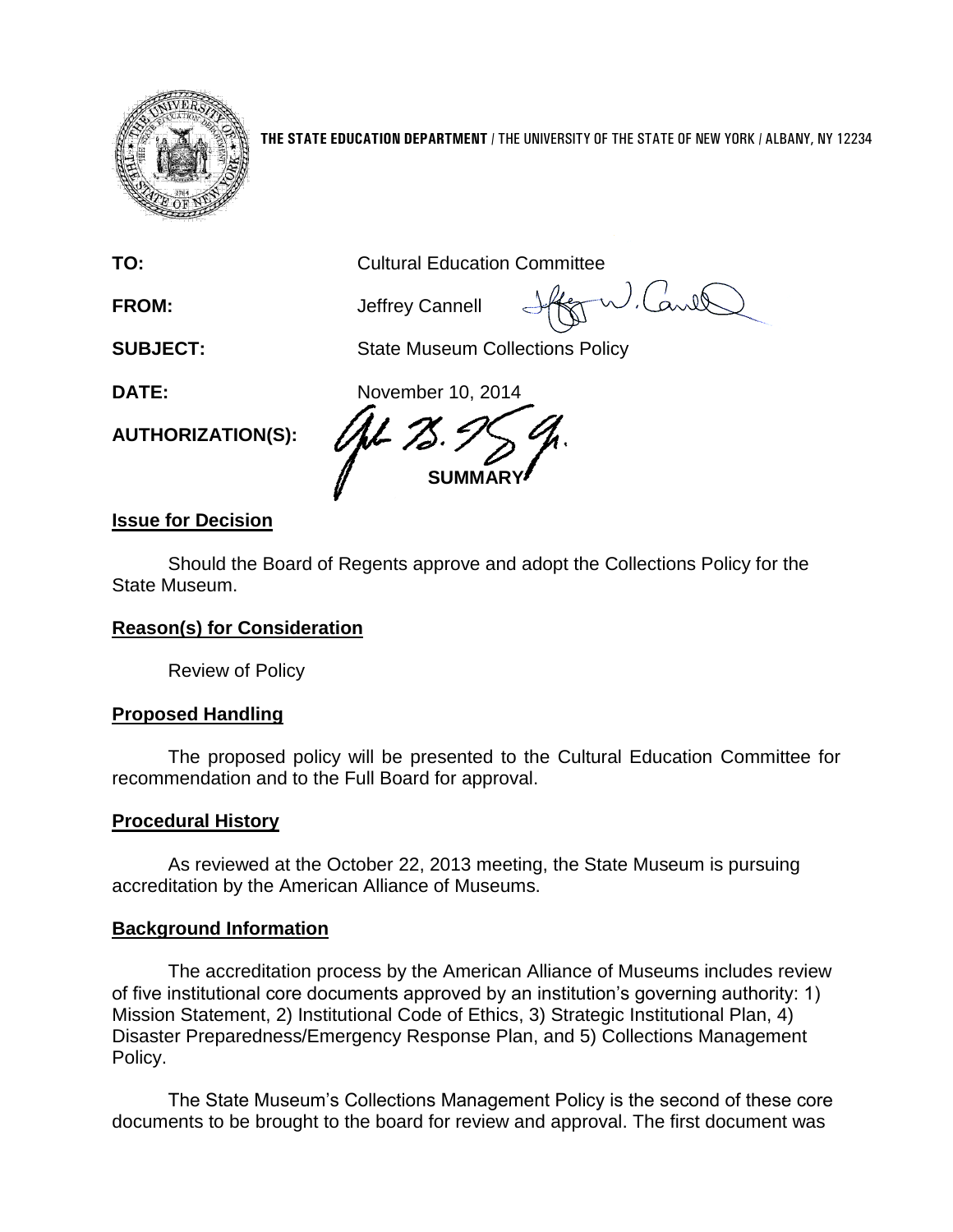

**THE STATE EDUCATION DEPARTMENT** / THE UNIVERSITY OF THE STATE OF NEW YORK / ALBANY, NY 12234

**TO:** Cultural Education Committee

**FROM:** Jeffrey Cannell

**SUBJECT:** State Museum Collections Policy

**AUTHORIZATION(S):**

**DATE:** November 10, 2014 **SUMMARY**

# **Issue for Decision**

Should the Board of Regents approve and adopt the Collections Policy for the State Museum.

# **Reason(s) for Consideration**

Review of Policy

# **Proposed Handling**

The proposed policy will be presented to the Cultural Education Committee for recommendation and to the Full Board for approval.

# **Procedural History**

As reviewed at the October 22, 2013 meeting, the State Museum is pursuing accreditation by the American Alliance of Museums.

# **Background Information**

The accreditation process by the American Alliance of Museums includes review of five institutional core documents approved by an institution's governing authority: 1) Mission Statement, 2) Institutional Code of Ethics, 3) Strategic Institutional Plan, 4) Disaster Preparedness/Emergency Response Plan, and 5) Collections Management Policy.

The State Museum's Collections Management Policy is the second of these core documents to be brought to the board for review and approval. The first document was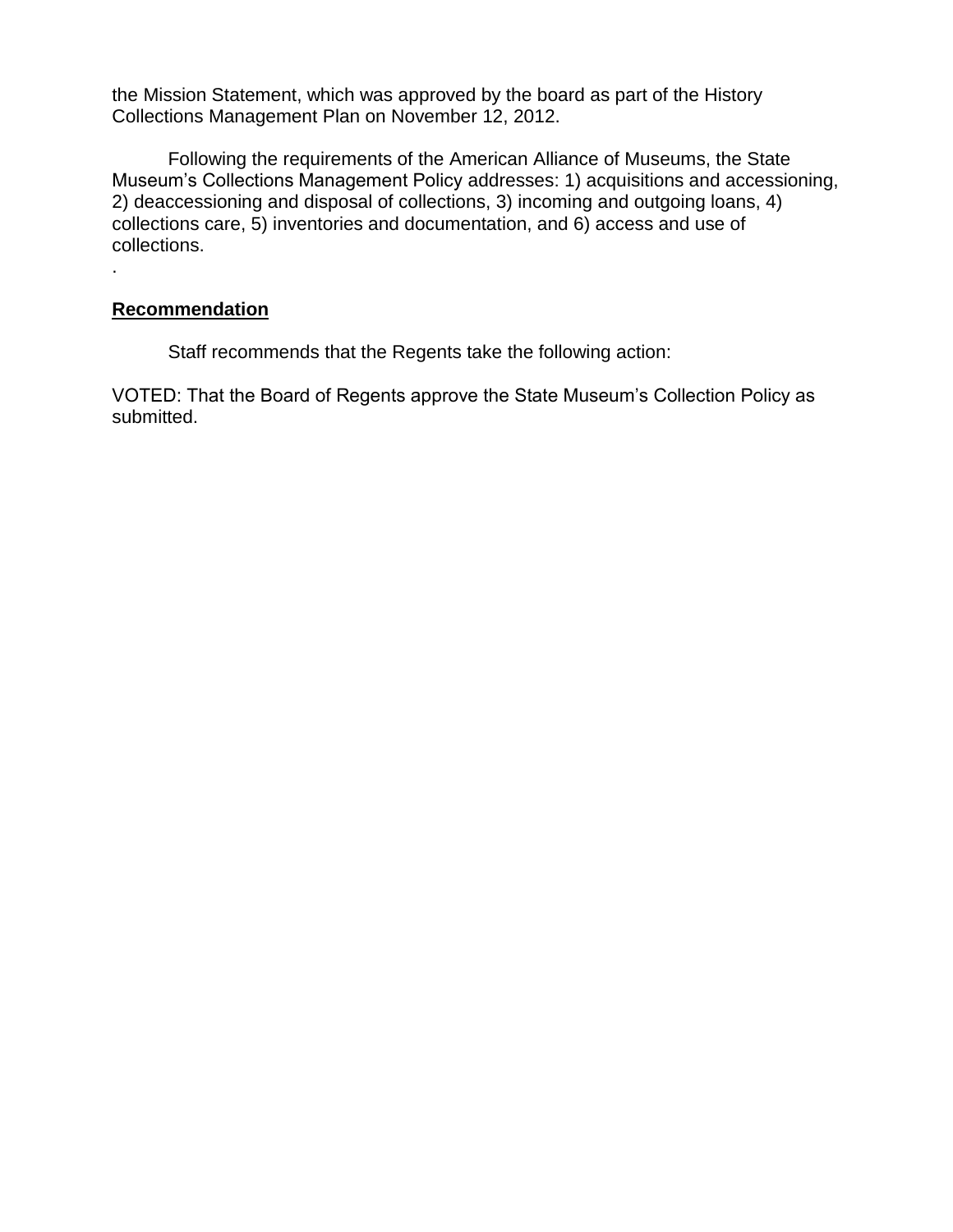the Mission Statement, which was approved by the board as part of the History Collections Management Plan on November 12, 2012.

Following the requirements of the American Alliance of Museums, the State Museum's Collections Management Policy addresses: 1) acquisitions and accessioning, 2) deaccessioning and disposal of collections, 3) incoming and outgoing loans, 4) collections care, 5) inventories and documentation, and 6) access and use of collections.

#### **Recommendation**

.

Staff recommends that the Regents take the following action:

VOTED: That the Board of Regents approve the State Museum's Collection Policy as submitted.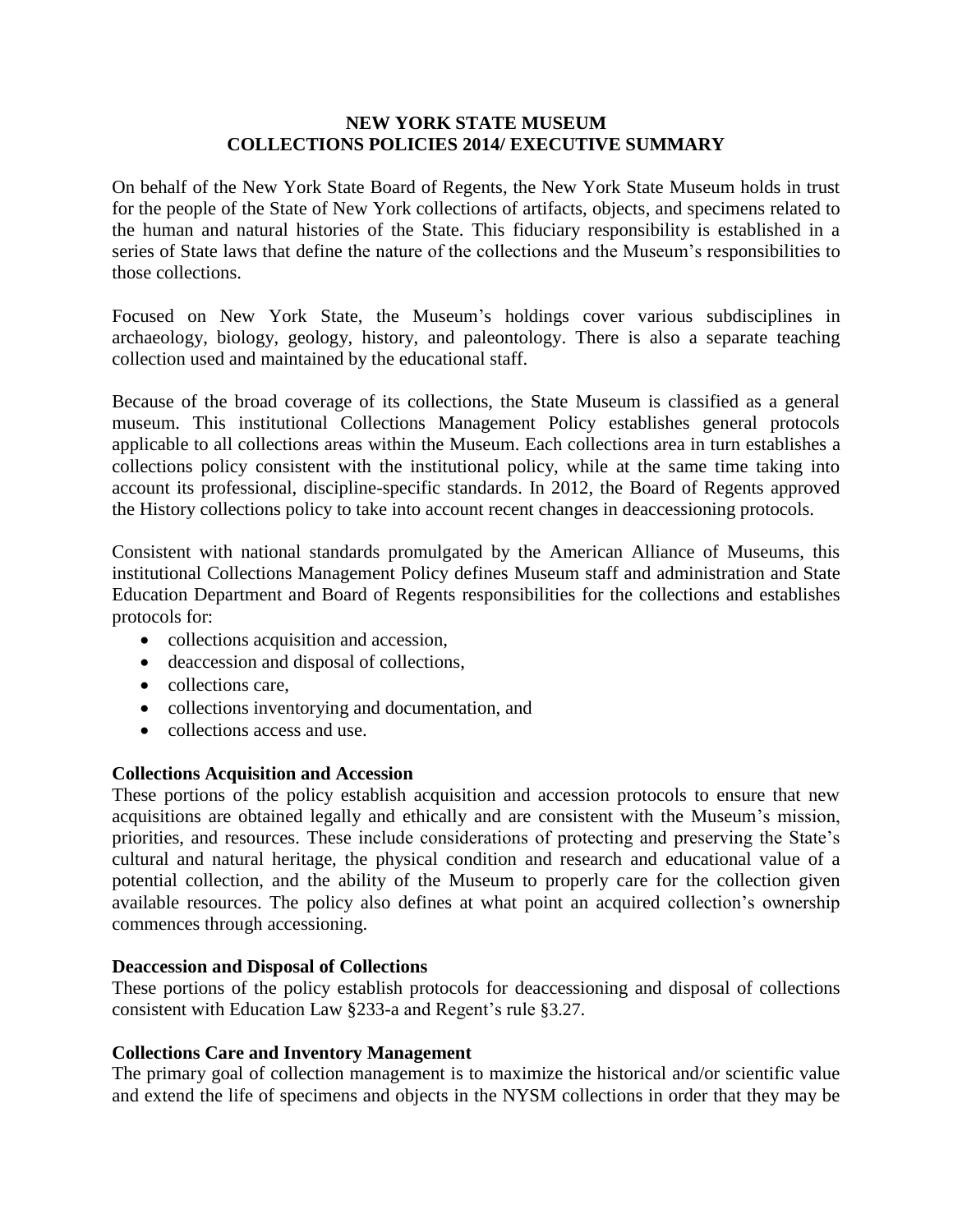#### **NEW YORK STATE MUSEUM COLLECTIONS POLICIES 2014/ EXECUTIVE SUMMARY**

On behalf of the New York State Board of Regents, the New York State Museum holds in trust for the people of the State of New York collections of artifacts, objects, and specimens related to the human and natural histories of the State. This fiduciary responsibility is established in a series of State laws that define the nature of the collections and the Museum's responsibilities to those collections.

Focused on New York State, the Museum's holdings cover various subdisciplines in archaeology, biology, geology, history, and paleontology. There is also a separate teaching collection used and maintained by the educational staff.

Because of the broad coverage of its collections, the State Museum is classified as a general museum. This institutional Collections Management Policy establishes general protocols applicable to all collections areas within the Museum. Each collections area in turn establishes a collections policy consistent with the institutional policy, while at the same time taking into account its professional, discipline-specific standards. In 2012, the Board of Regents approved the History collections policy to take into account recent changes in deaccessioning protocols.

Consistent with national standards promulgated by the American Alliance of Museums, this institutional Collections Management Policy defines Museum staff and administration and State Education Department and Board of Regents responsibilities for the collections and establishes protocols for:

- collections acquisition and accession,
- deaccession and disposal of collections,
- collections care,
- collections inventorying and documentation, and
- collections access and use.

#### **Collections Acquisition and Accession**

These portions of the policy establish acquisition and accession protocols to ensure that new acquisitions are obtained legally and ethically and are consistent with the Museum's mission, priorities, and resources. These include considerations of protecting and preserving the State's cultural and natural heritage, the physical condition and research and educational value of a potential collection, and the ability of the Museum to properly care for the collection given available resources. The policy also defines at what point an acquired collection's ownership commences through accessioning.

#### **Deaccession and Disposal of Collections**

These portions of the policy establish protocols for deaccessioning and disposal of collections consistent with Education Law §233-a and Regent's rule §3.27.

#### **Collections Care and Inventory Management**

The primary goal of collection management is to maximize the historical and/or scientific value and extend the life of specimens and objects in the NYSM collections in order that they may be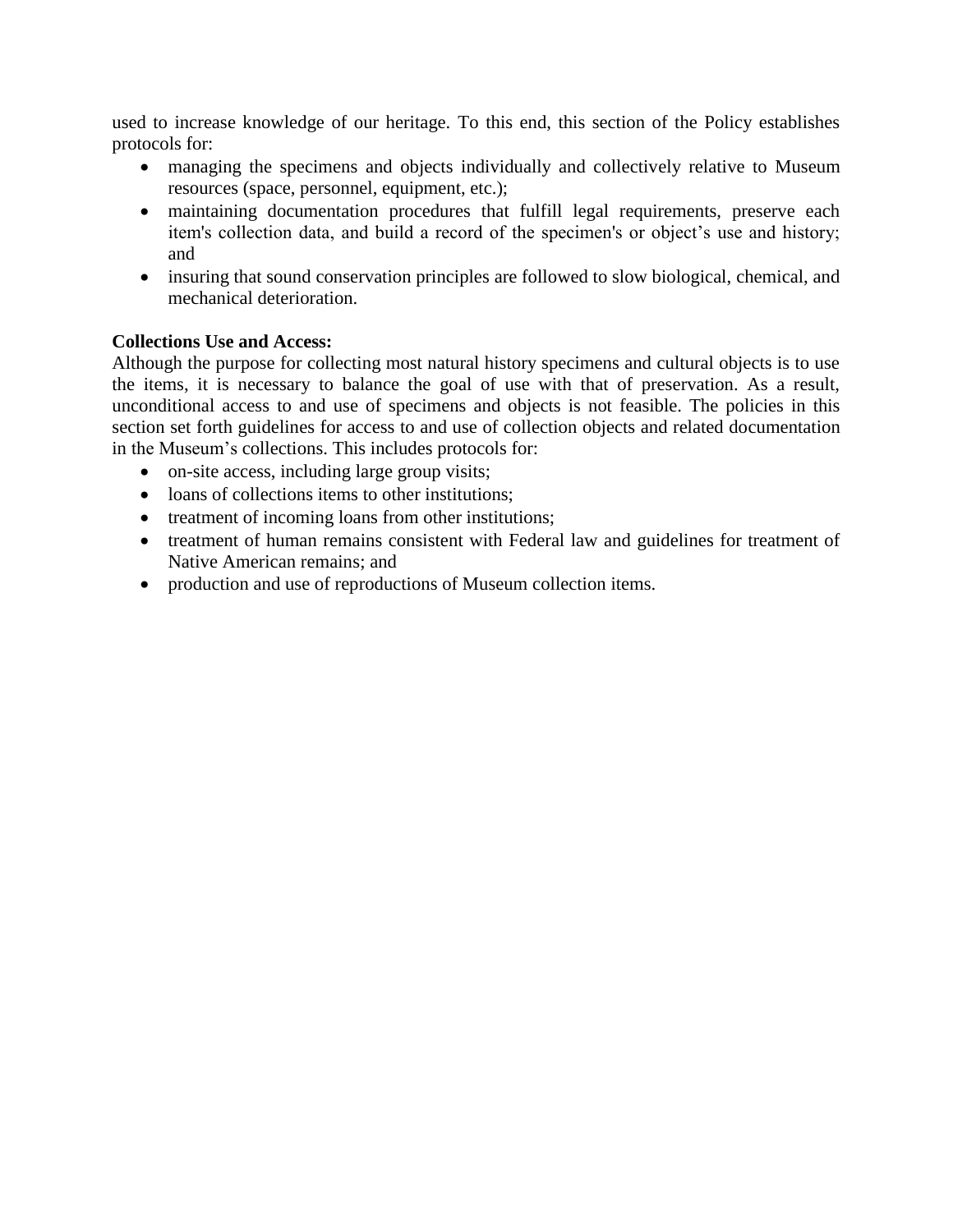used to increase knowledge of our heritage. To this end, this section of the Policy establishes protocols for:

- managing the specimens and objects individually and collectively relative to Museum resources (space, personnel, equipment, etc.);
- maintaining documentation procedures that fulfill legal requirements, preserve each item's collection data, and build a record of the specimen's or object's use and history; and
- insuring that sound conservation principles are followed to slow biological, chemical, and mechanical deterioration.

#### **Collections Use and Access:**

Although the purpose for collecting most natural history specimens and cultural objects is to use the items, it is necessary to balance the goal of use with that of preservation. As a result, unconditional access to and use of specimens and objects is not feasible. The policies in this section set forth guidelines for access to and use of collection objects and related documentation in the Museum's collections. This includes protocols for:

- on-site access, including large group visits;
- loans of collections items to other institutions;
- treatment of incoming loans from other institutions;
- treatment of human remains consistent with Federal law and guidelines for treatment of Native American remains; and
- production and use of reproductions of Museum collection items.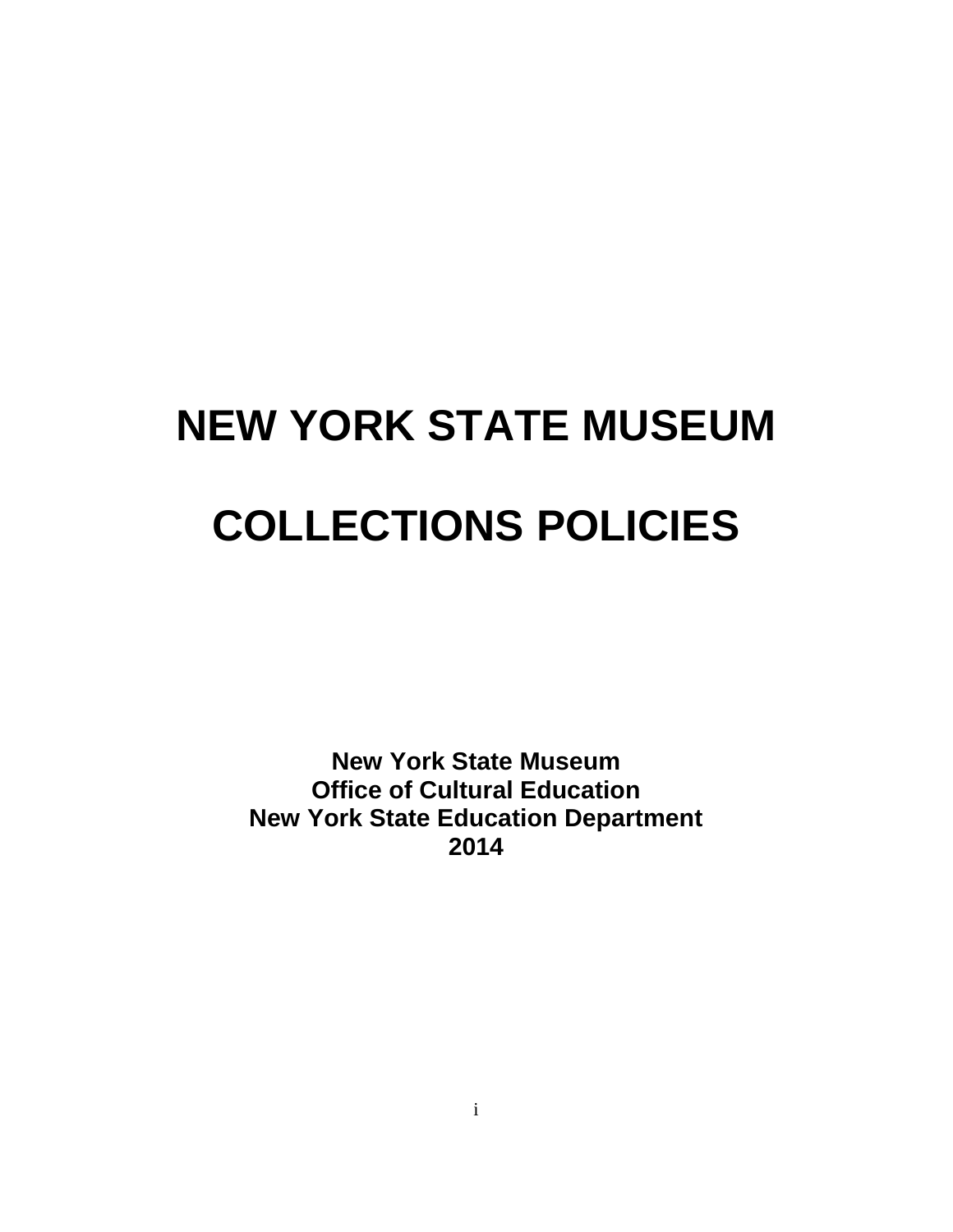# **NEW YORK STATE MUSEUM COLLECTIONS POLICIES**

**New York State Museum Office of Cultural Education New York State Education Department 2014**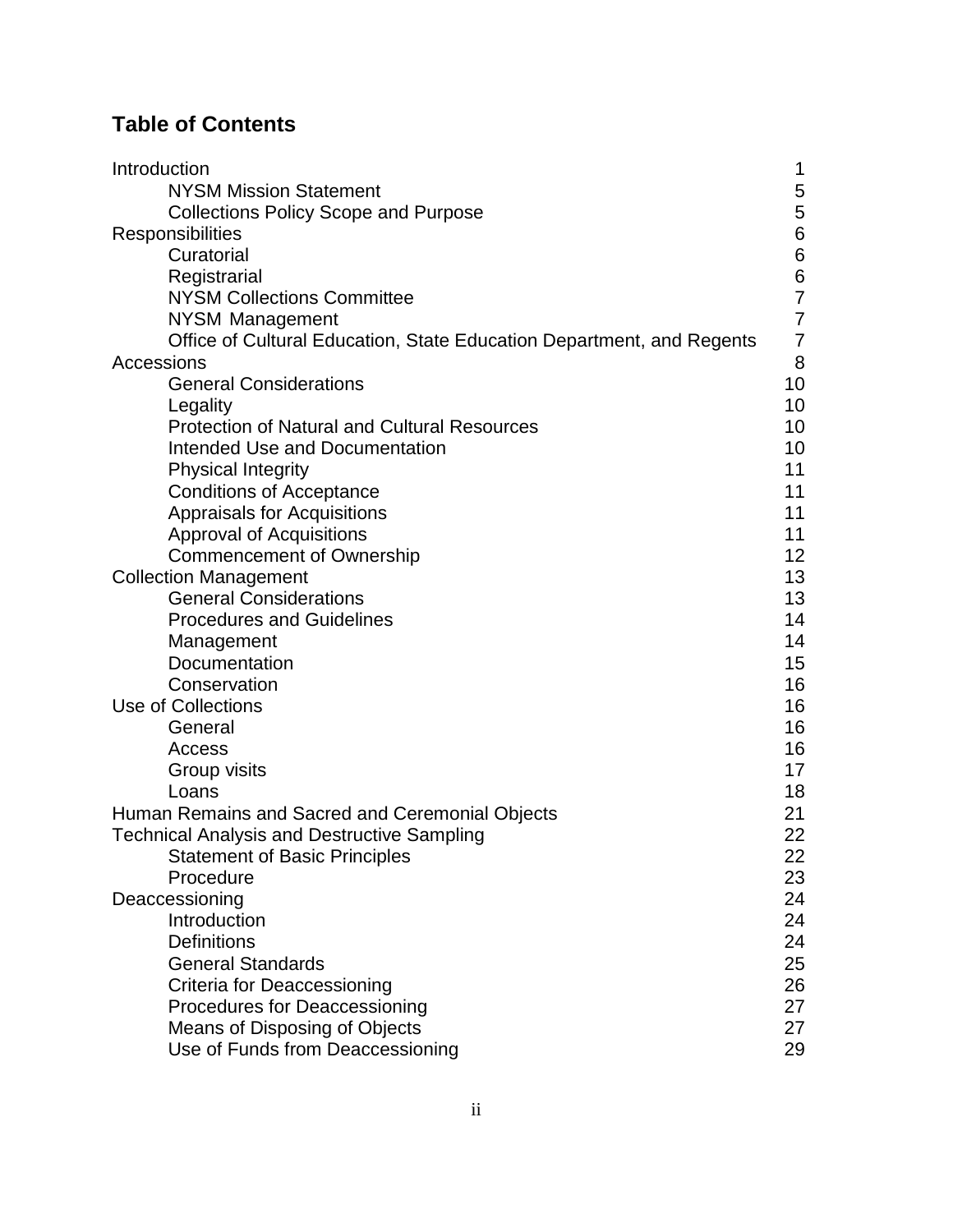# **Table of Contents**

| Introduction                                                          | 1              |
|-----------------------------------------------------------------------|----------------|
| <b>NYSM Mission Statement</b>                                         | 5              |
| <b>Collections Policy Scope and Purpose</b>                           | 5              |
| Responsibilities                                                      | 6              |
| Curatorial                                                            | 6              |
| Registrarial                                                          | $\,$ 6 $\,$    |
| <b>NYSM Collections Committee</b>                                     | $\overline{7}$ |
| NYSM Management                                                       | $\overline{7}$ |
| Office of Cultural Education, State Education Department, and Regents | $\overline{7}$ |
| Accessions                                                            | 8              |
| <b>General Considerations</b>                                         | 10             |
| Legality                                                              | 10             |
| <b>Protection of Natural and Cultural Resources</b>                   | 10             |
| <b>Intended Use and Documentation</b>                                 | 10             |
| <b>Physical Integrity</b>                                             | 11             |
| <b>Conditions of Acceptance</b>                                       | 11             |
| Appraisals for Acquisitions                                           | 11             |
| <b>Approval of Acquisitions</b>                                       | 11             |
| <b>Commencement of Ownership</b>                                      | 12             |
| <b>Collection Management</b>                                          | 13             |
| <b>General Considerations</b>                                         | 13             |
| <b>Procedures and Guidelines</b>                                      | 14             |
| Management                                                            | 14             |
| Documentation                                                         | 15             |
| Conservation                                                          | 16             |
| Use of Collections                                                    | 16             |
| General                                                               | 16             |
| Access                                                                | 16             |
| Group visits                                                          | 17             |
| Loans                                                                 | 18             |
| Human Remains and Sacred and Ceremonial Objects                       | 21             |
| <b>Technical Analysis and Destructive Sampling</b>                    | 22             |
| <b>Statement of Basic Principles</b>                                  | 22             |
| Procedure                                                             | 23             |
| Deaccessioning                                                        | 24             |
| Introduction                                                          | 24             |
| <b>Definitions</b>                                                    | 24             |
| <b>General Standards</b>                                              | 25             |
| Criteria for Deaccessioning                                           | 26             |
| <b>Procedures for Deaccessioning</b>                                  | 27             |
| Means of Disposing of Objects                                         | 27             |
| Use of Funds from Deaccessioning                                      | 29             |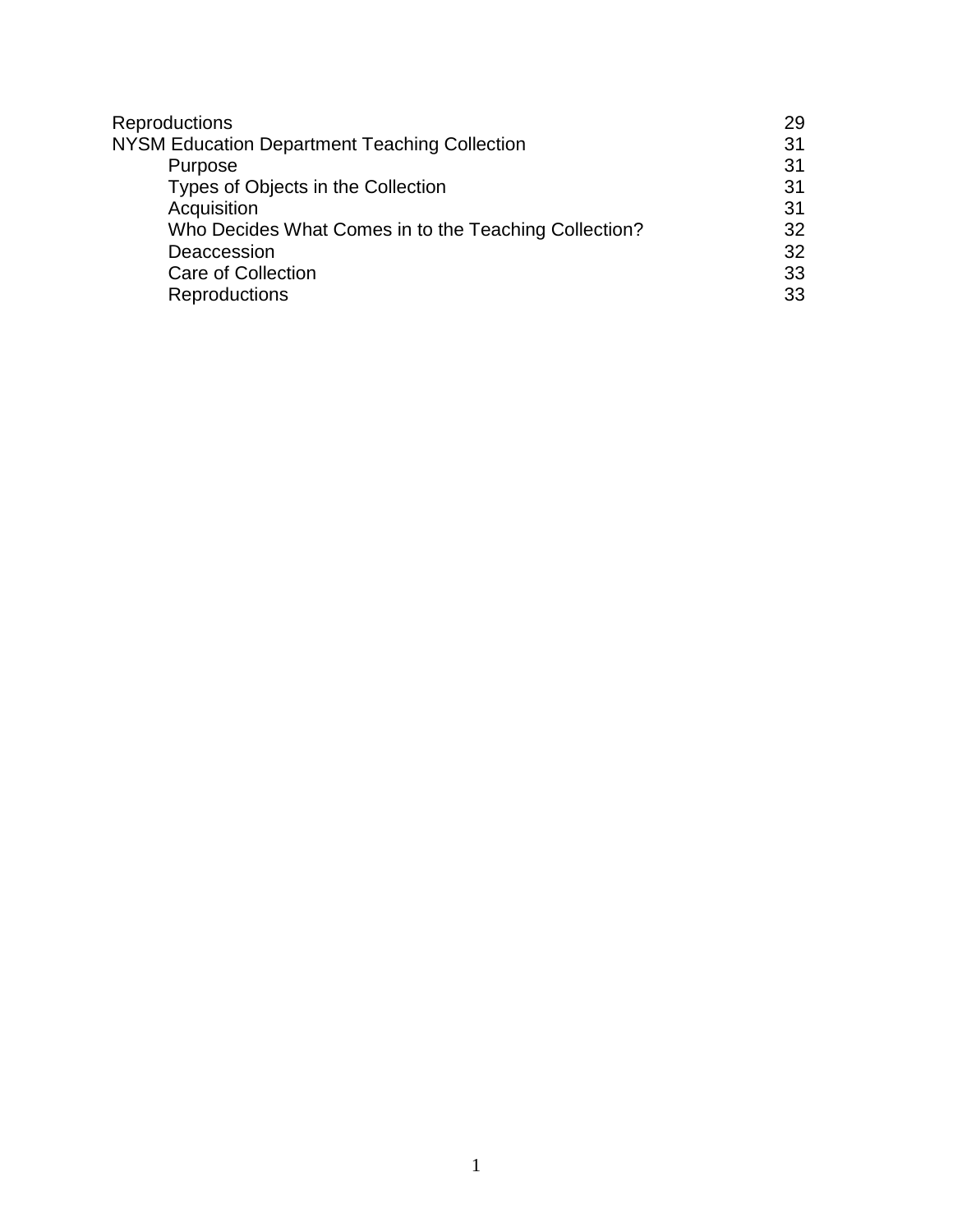| Reproductions                                         | 29 |
|-------------------------------------------------------|----|
| NYSM Education Department Teaching Collection         | 31 |
| Purpose                                               | 31 |
| Types of Objects in the Collection                    | 31 |
| Acquisition                                           | 31 |
| Who Decides What Comes in to the Teaching Collection? | 32 |
| Deaccession                                           | 32 |
| <b>Care of Collection</b>                             | 33 |
| <b>Reproductions</b>                                  | 33 |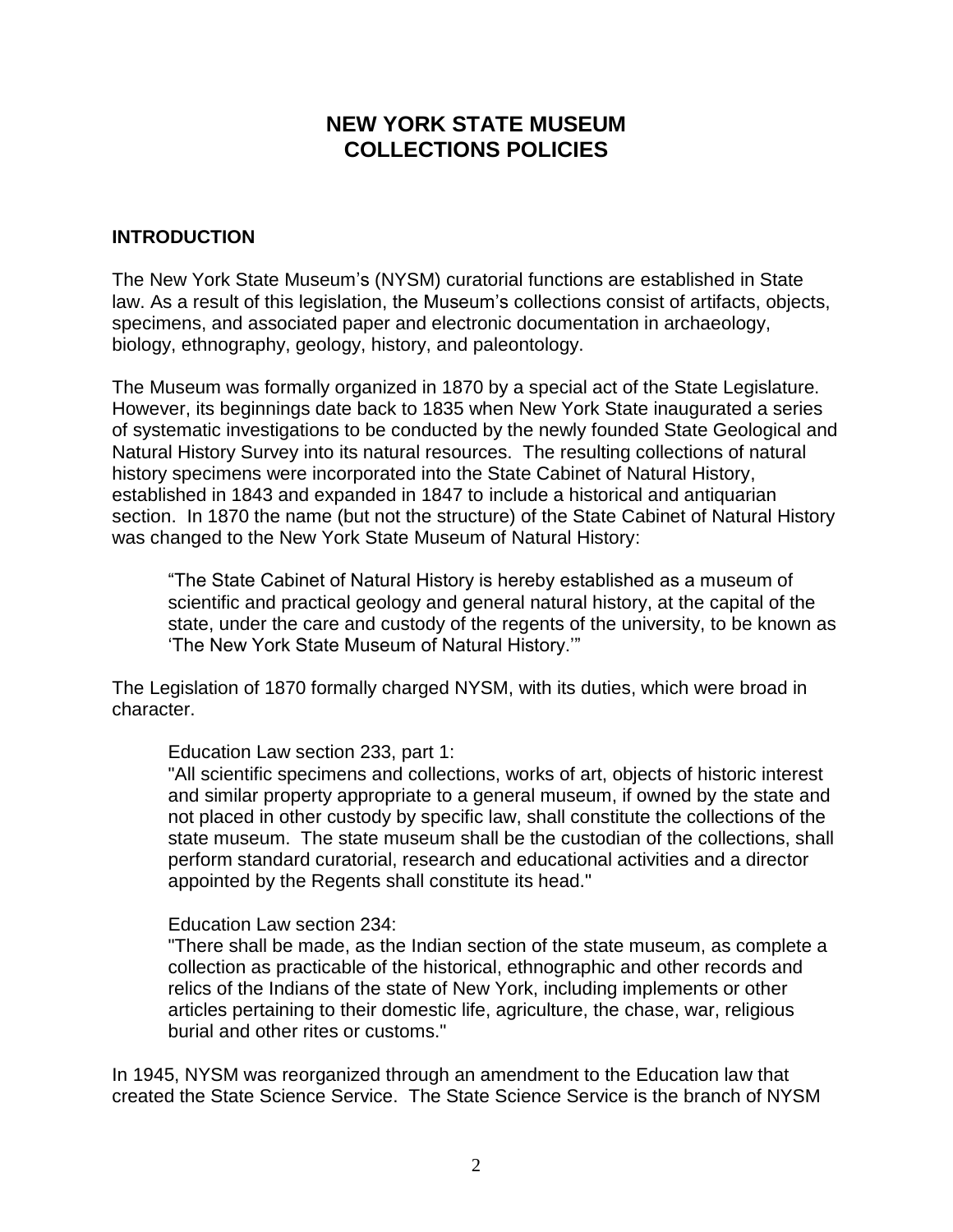# **NEW YORK STATE MUSEUM COLLECTIONS POLICIES**

## **INTRODUCTION**

The New York State Museum's (NYSM) curatorial functions are established in State law. As a result of this legislation, the Museum's collections consist of artifacts, objects, specimens, and associated paper and electronic documentation in archaeology, biology, ethnography, geology, history, and paleontology.

The Museum was formally organized in 1870 by a special act of the State Legislature. However, its beginnings date back to 1835 when New York State inaugurated a series of systematic investigations to be conducted by the newly founded State Geological and Natural History Survey into its natural resources. The resulting collections of natural history specimens were incorporated into the State Cabinet of Natural History, established in 1843 and expanded in 1847 to include a historical and antiquarian section. In 1870 the name (but not the structure) of the State Cabinet of Natural History was changed to the New York State Museum of Natural History:

"The State Cabinet of Natural History is hereby established as a museum of scientific and practical geology and general natural history, at the capital of the state, under the care and custody of the regents of the university, to be known as 'The New York State Museum of Natural History.'"

The Legislation of 1870 formally charged NYSM, with its duties, which were broad in character.

Education Law section 233, part 1:

"All scientific specimens and collections, works of art, objects of historic interest and similar property appropriate to a general museum, if owned by the state and not placed in other custody by specific law, shall constitute the collections of the state museum. The state museum shall be the custodian of the collections, shall perform standard curatorial, research and educational activities and a director appointed by the Regents shall constitute its head."

#### Education Law section 234:

"There shall be made, as the Indian section of the state museum, as complete a collection as practicable of the historical, ethnographic and other records and relics of the Indians of the state of New York, including implements or other articles pertaining to their domestic life, agriculture, the chase, war, religious burial and other rites or customs."

In 1945, NYSM was reorganized through an amendment to the Education law that created the State Science Service. The State Science Service is the branch of NYSM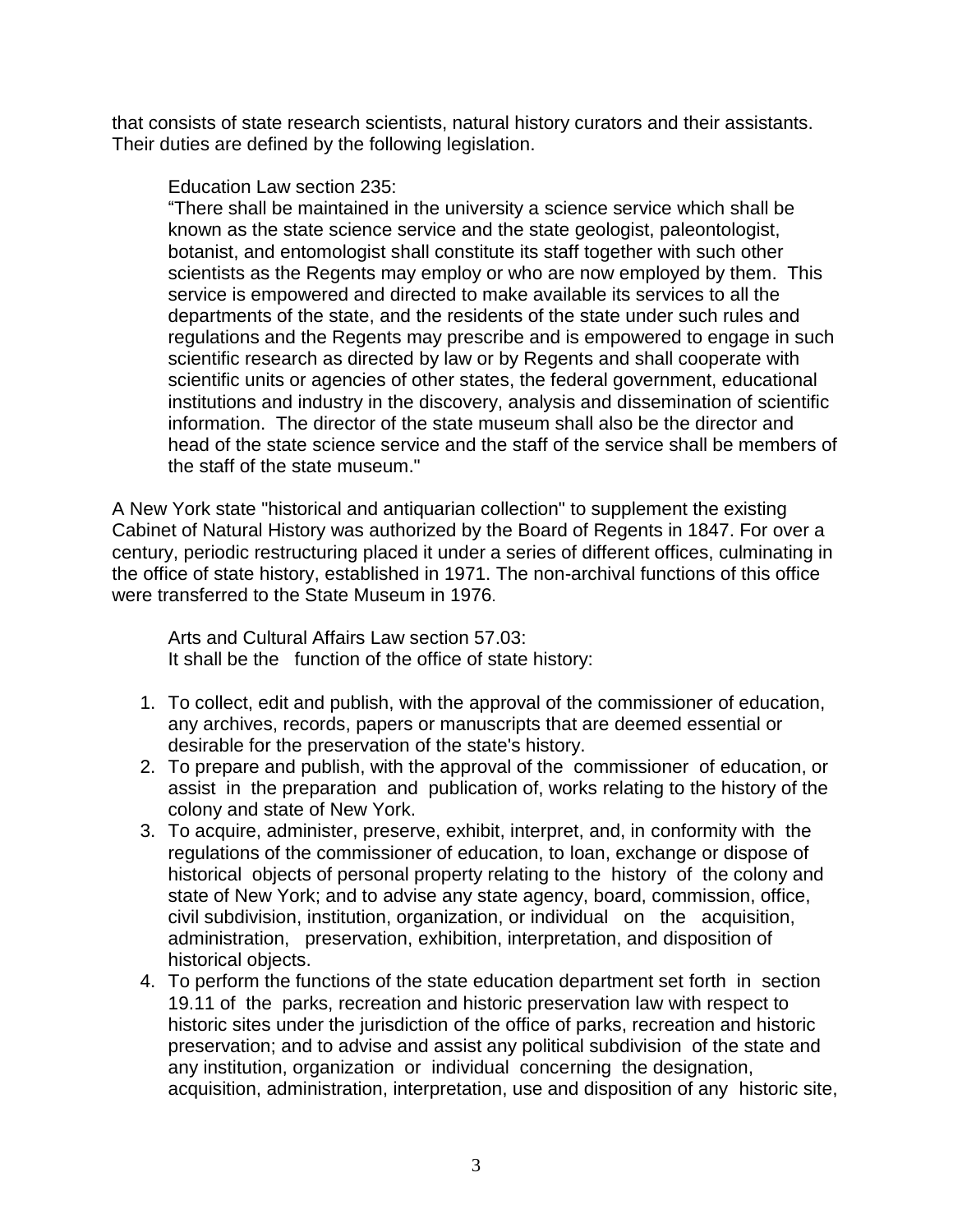that consists of state research scientists, natural history curators and their assistants. Their duties are defined by the following legislation.

Education Law section 235:

"There shall be maintained in the university a science service which shall be known as the state science service and the state geologist, paleontologist, botanist, and entomologist shall constitute its staff together with such other scientists as the Regents may employ or who are now employed by them. This service is empowered and directed to make available its services to all the departments of the state, and the residents of the state under such rules and regulations and the Regents may prescribe and is empowered to engage in such scientific research as directed by law or by Regents and shall cooperate with scientific units or agencies of other states, the federal government, educational institutions and industry in the discovery, analysis and dissemination of scientific information. The director of the state museum shall also be the director and head of the state science service and the staff of the service shall be members of the staff of the state museum."

A New York state "historical and antiquarian collection" to supplement the existing Cabinet of Natural History was authorized by the Board of Regents in 1847. For over a century, periodic restructuring placed it under a series of different offices, culminating in the office of state history, established in 1971. The non-archival functions of this office were transferred to the State Museum in 1976.

Arts and Cultural Affairs Law section 57.03: It shall be the function of the office of state history:

- 1. To collect, edit and publish, with the approval of the commissioner of education, any archives, records, papers or manuscripts that are deemed essential or desirable for the preservation of the state's history.
- 2. To prepare and publish, with the approval of the commissioner of education, or assist in the preparation and publication of, works relating to the history of the colony and state of New York.
- 3. To acquire, administer, preserve, exhibit, interpret, and, in conformity with the regulations of the commissioner of education, to loan, exchange or dispose of historical objects of personal property relating to the history of the colony and state of New York; and to advise any state agency, board, commission, office, civil subdivision, institution, organization, or individual on the acquisition, administration, preservation, exhibition, interpretation, and disposition of historical objects.
- 4. To perform the functions of the state education department set forth in section 19.11 of the parks, recreation and historic preservation law with respect to historic sites under the jurisdiction of the office of parks, recreation and historic preservation; and to advise and assist any political subdivision of the state and any institution, organization or individual concerning the designation, acquisition, administration, interpretation, use and disposition of any historic site,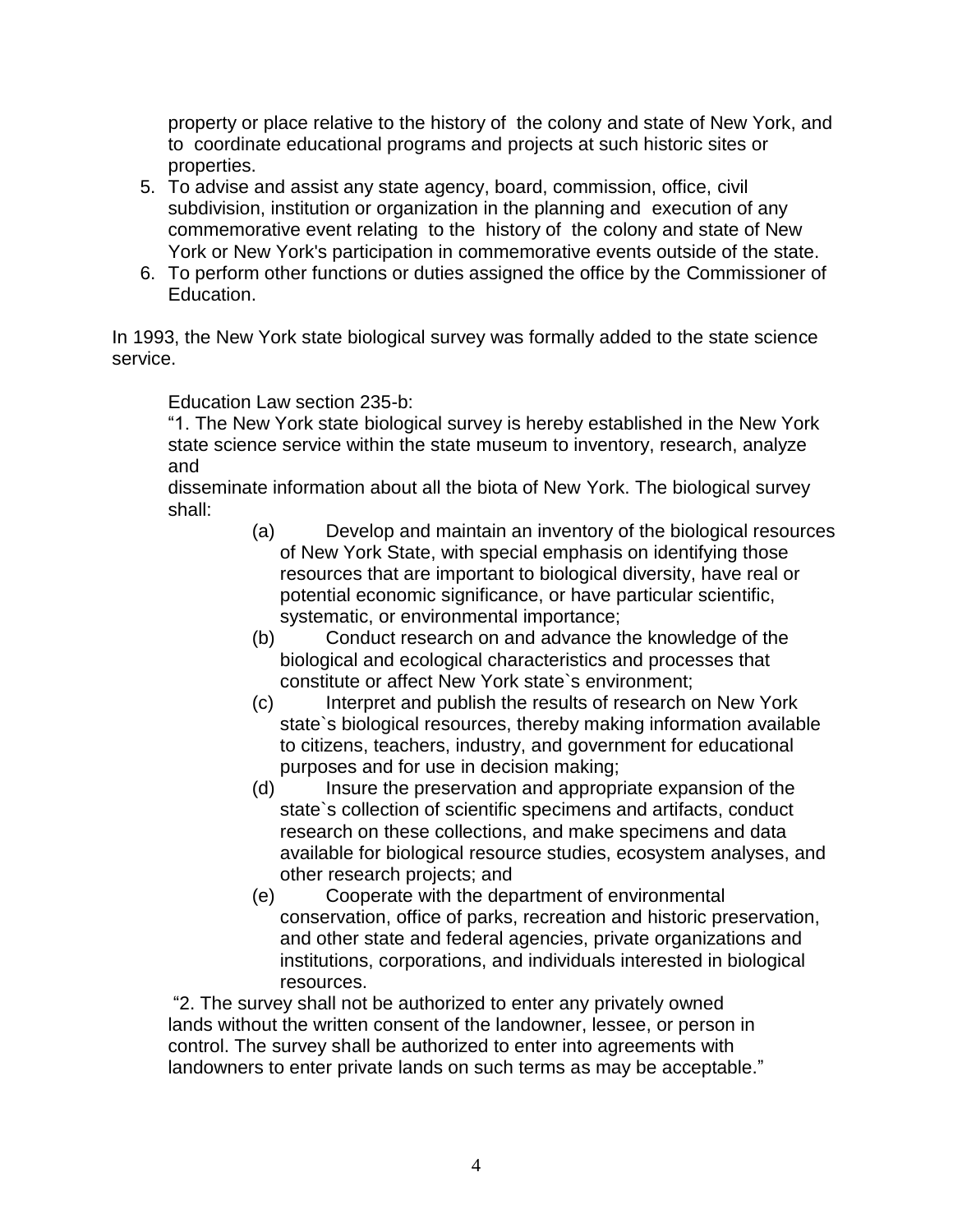property or place relative to the history of the colony and state of New York, and to coordinate educational programs and projects at such historic sites or properties.

- 5. To advise and assist any state agency, board, commission, office, civil subdivision, institution or organization in the planning and execution of any commemorative event relating to the history of the colony and state of New York or New York's participation in commemorative events outside of the state.
- 6. To perform other functions or duties assigned the office by the Commissioner of Education.

In 1993, the New York state biological survey was formally added to the state science service.

Education Law section 235-b:

"1. The New York state biological survey is hereby established in the New York state science service within the state museum to inventory, research, analyze and

disseminate information about all the biota of New York. The biological survey shall:

- (a) Develop and maintain an inventory of the biological resources of New York State, with special emphasis on identifying those resources that are important to biological diversity, have real or potential economic significance, or have particular scientific, systematic, or environmental importance;
- (b) Conduct research on and advance the knowledge of the biological and ecological characteristics and processes that constitute or affect New York state`s environment;
- (c) Interpret and publish the results of research on New York state`s biological resources, thereby making information available to citizens, teachers, industry, and government for educational purposes and for use in decision making;
- (d) Insure the preservation and appropriate expansion of the state`s collection of scientific specimens and artifacts, conduct research on these collections, and make specimens and data available for biological resource studies, ecosystem analyses, and other research projects; and
- (e) Cooperate with the department of environmental conservation, office of parks, recreation and historic preservation, and other state and federal agencies, private organizations and institutions, corporations, and individuals interested in biological resources.

"2. The survey shall not be authorized to enter any privately owned lands without the written consent of the landowner, lessee, or person in control. The survey shall be authorized to enter into agreements with landowners to enter private lands on such terms as may be acceptable."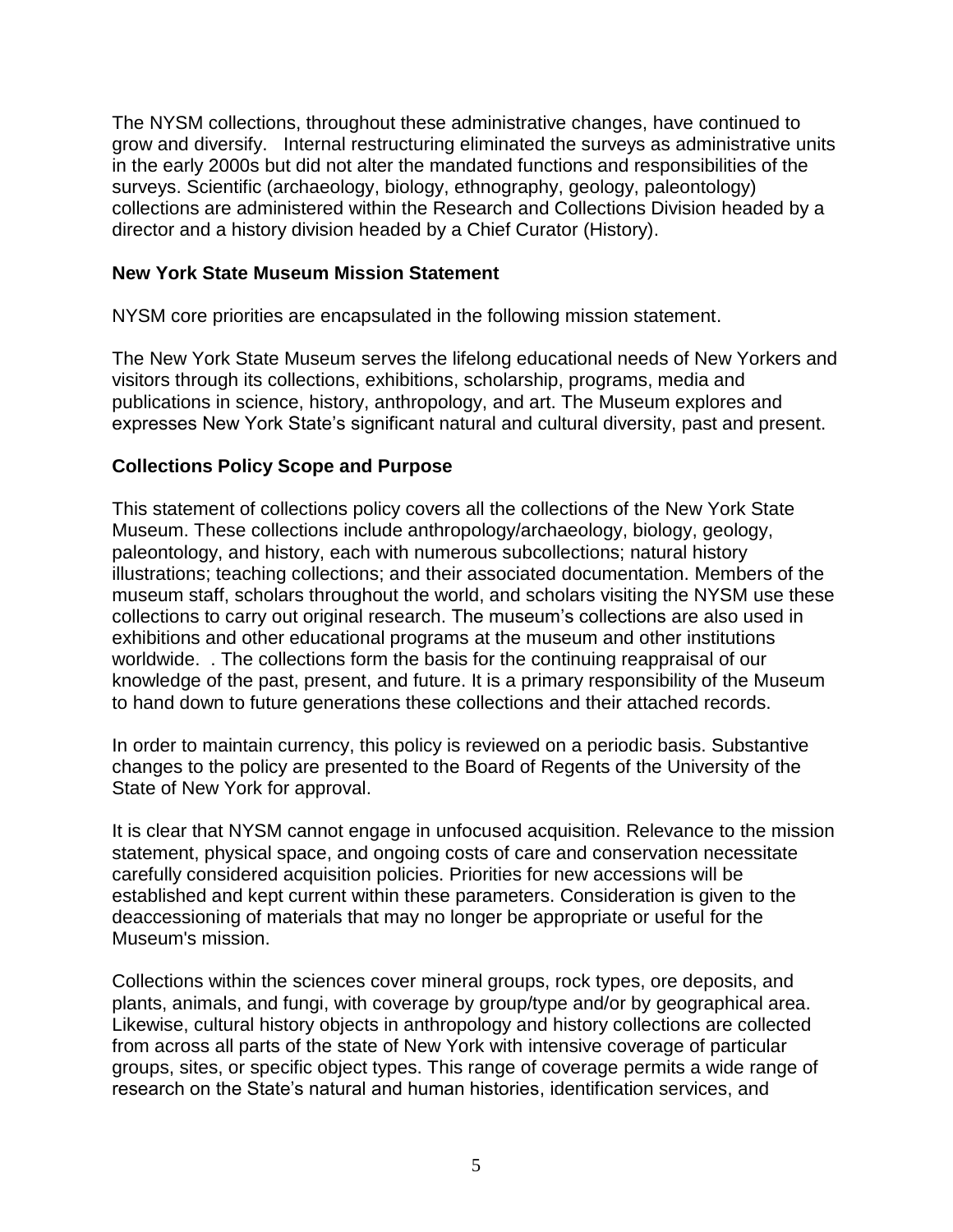The NYSM collections, throughout these administrative changes, have continued to grow and diversify. Internal restructuring eliminated the surveys as administrative units in the early 2000s but did not alter the mandated functions and responsibilities of the surveys. Scientific (archaeology, biology, ethnography, geology, paleontology) collections are administered within the Research and Collections Division headed by a director and a history division headed by a Chief Curator (History).

### **New York State Museum Mission Statement**

NYSM core priorities are encapsulated in the following mission statement.

The New York State Museum serves the lifelong educational needs of New Yorkers and visitors through its collections, exhibitions, scholarship, programs, media and publications in science, history, anthropology, and art. The Museum explores and expresses New York State's significant natural and cultural diversity, past and present.

## **Collections Policy Scope and Purpose**

This statement of collections policy covers all the collections of the New York State Museum. These collections include anthropology/archaeology, biology, geology, paleontology, and history, each with numerous subcollections; natural history illustrations; teaching collections; and their associated documentation. Members of the museum staff, scholars throughout the world, and scholars visiting the NYSM use these collections to carry out original research. The museum's collections are also used in exhibitions and other educational programs at the museum and other institutions worldwide. . The collections form the basis for the continuing reappraisal of our knowledge of the past, present, and future. It is a primary responsibility of the Museum to hand down to future generations these collections and their attached records.

In order to maintain currency, this policy is reviewed on a periodic basis. Substantive changes to the policy are presented to the Board of Regents of the University of the State of New York for approval.

It is clear that NYSM cannot engage in unfocused acquisition. Relevance to the mission statement, physical space, and ongoing costs of care and conservation necessitate carefully considered acquisition policies. Priorities for new accessions will be established and kept current within these parameters. Consideration is given to the deaccessioning of materials that may no longer be appropriate or useful for the Museum's mission.

Collections within the sciences cover mineral groups, rock types, ore deposits, and plants, animals, and fungi, with coverage by group/type and/or by geographical area. Likewise, cultural history objects in anthropology and history collections are collected from across all parts of the state of New York with intensive coverage of particular groups, sites, or specific object types. This range of coverage permits a wide range of research on the State's natural and human histories, identification services, and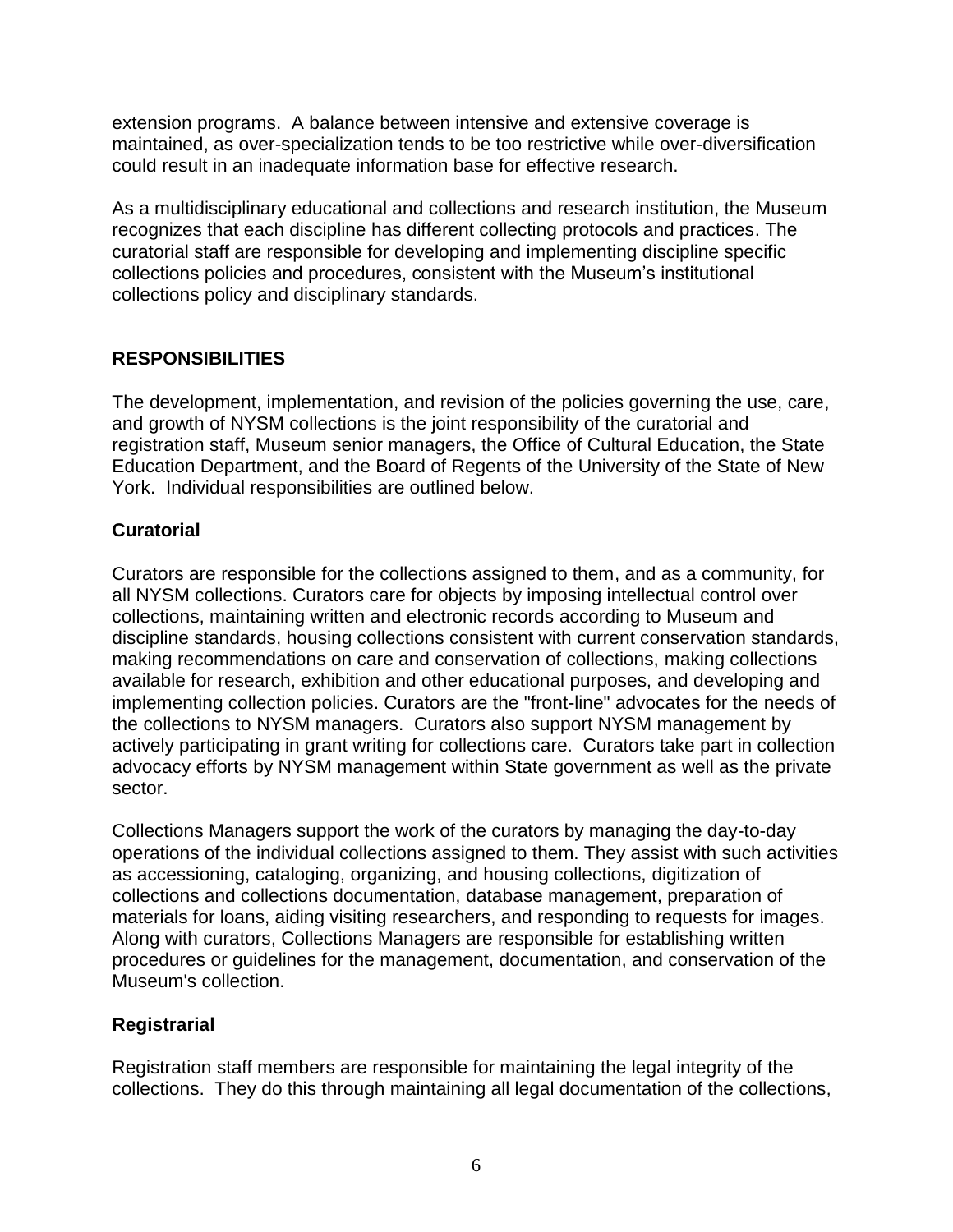extension programs. A balance between intensive and extensive coverage is maintained, as over-specialization tends to be too restrictive while over-diversification could result in an inadequate information base for effective research.

As a multidisciplinary educational and collections and research institution, the Museum recognizes that each discipline has different collecting protocols and practices. The curatorial staff are responsible for developing and implementing discipline specific collections policies and procedures, consistent with the Museum's institutional collections policy and disciplinary standards.

# **RESPONSIBILITIES**

The development, implementation, and revision of the policies governing the use, care, and growth of NYSM collections is the joint responsibility of the curatorial and registration staff, Museum senior managers, the Office of Cultural Education, the State Education Department, and the Board of Regents of the University of the State of New York. Individual responsibilities are outlined below.

# **Curatorial**

Curators are responsible for the collections assigned to them, and as a community, for all NYSM collections. Curators care for objects by imposing intellectual control over collections, maintaining written and electronic records according to Museum and discipline standards, housing collections consistent with current conservation standards, making recommendations on care and conservation of collections, making collections available for research, exhibition and other educational purposes, and developing and implementing collection policies. Curators are the "front-line" advocates for the needs of the collections to NYSM managers. Curators also support NYSM management by actively participating in grant writing for collections care. Curators take part in collection advocacy efforts by NYSM management within State government as well as the private sector.

Collections Managers support the work of the curators by managing the day-to-day operations of the individual collections assigned to them. They assist with such activities as accessioning, cataloging, organizing, and housing collections, digitization of collections and collections documentation, database management, preparation of materials for loans, aiding visiting researchers, and responding to requests for images. Along with curators, Collections Managers are responsible for establishing written procedures or guidelines for the management, documentation, and conservation of the Museum's collection.

# **Registrarial**

Registration staff members are responsible for maintaining the legal integrity of the collections. They do this through maintaining all legal documentation of the collections,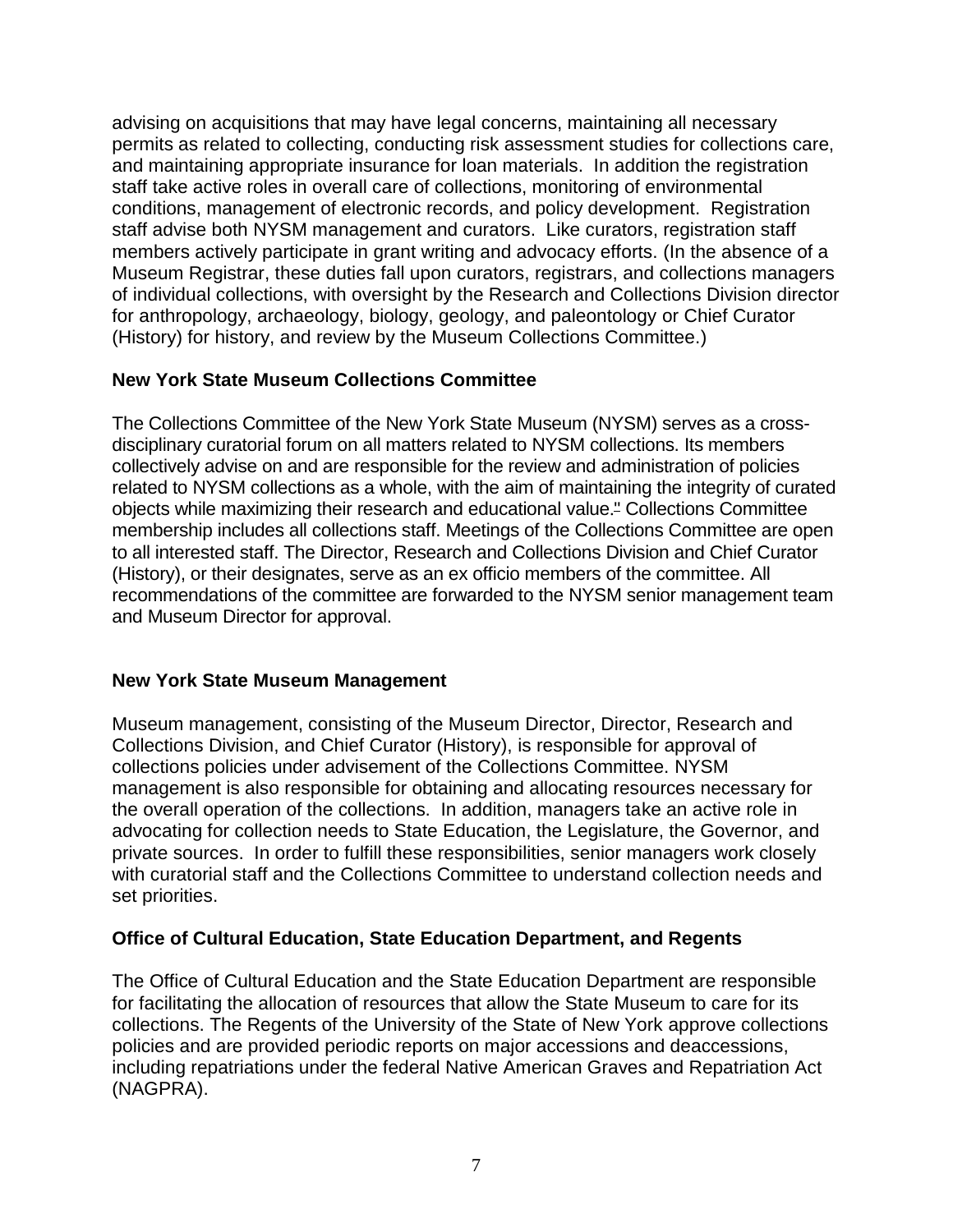advising on acquisitions that may have legal concerns, maintaining all necessary permits as related to collecting, conducting risk assessment studies for collections care, and maintaining appropriate insurance for loan materials. In addition the registration staff take active roles in overall care of collections, monitoring of environmental conditions, management of electronic records, and policy development. Registration staff advise both NYSM management and curators. Like curators, registration staff members actively participate in grant writing and advocacy efforts. (In the absence of a Museum Registrar, these duties fall upon curators, registrars, and collections managers of individual collections, with oversight by the Research and Collections Division director for anthropology, archaeology, biology, geology, and paleontology or Chief Curator (History) for history, and review by the Museum Collections Committee.)

# **New York State Museum Collections Committee**

The Collections Committee of the New York State Museum (NYSM) serves as a crossdisciplinary curatorial forum on all matters related to NYSM collections. Its members collectively advise on and are responsible for the review and administration of policies related to NYSM collections as a whole, with the aim of maintaining the integrity of curated objects while maximizing their research and educational value." Collections Committee membership includes all collections staff. Meetings of the Collections Committee are open to all interested staff. The Director, Research and Collections Division and Chief Curator (History), or their designates, serve as an ex officio members of the committee. All recommendations of the committee are forwarded to the NYSM senior management team and Museum Director for approval.

#### **New York State Museum Management**

Museum management, consisting of the Museum Director, Director, Research and Collections Division, and Chief Curator (History), is responsible for approval of collections policies under advisement of the Collections Committee. NYSM management is also responsible for obtaining and allocating resources necessary for the overall operation of the collections. In addition, managers take an active role in advocating for collection needs to State Education, the Legislature, the Governor, and private sources. In order to fulfill these responsibilities, senior managers work closely with curatorial staff and the Collections Committee to understand collection needs and set priorities.

# **Office of Cultural Education, State Education Department, and Regents**

The Office of Cultural Education and the State Education Department are responsible for facilitating the allocation of resources that allow the State Museum to care for its collections. The Regents of the University of the State of New York approve collections policies and are provided periodic reports on major accessions and deaccessions, including repatriations under the federal Native American Graves and Repatriation Act (NAGPRA).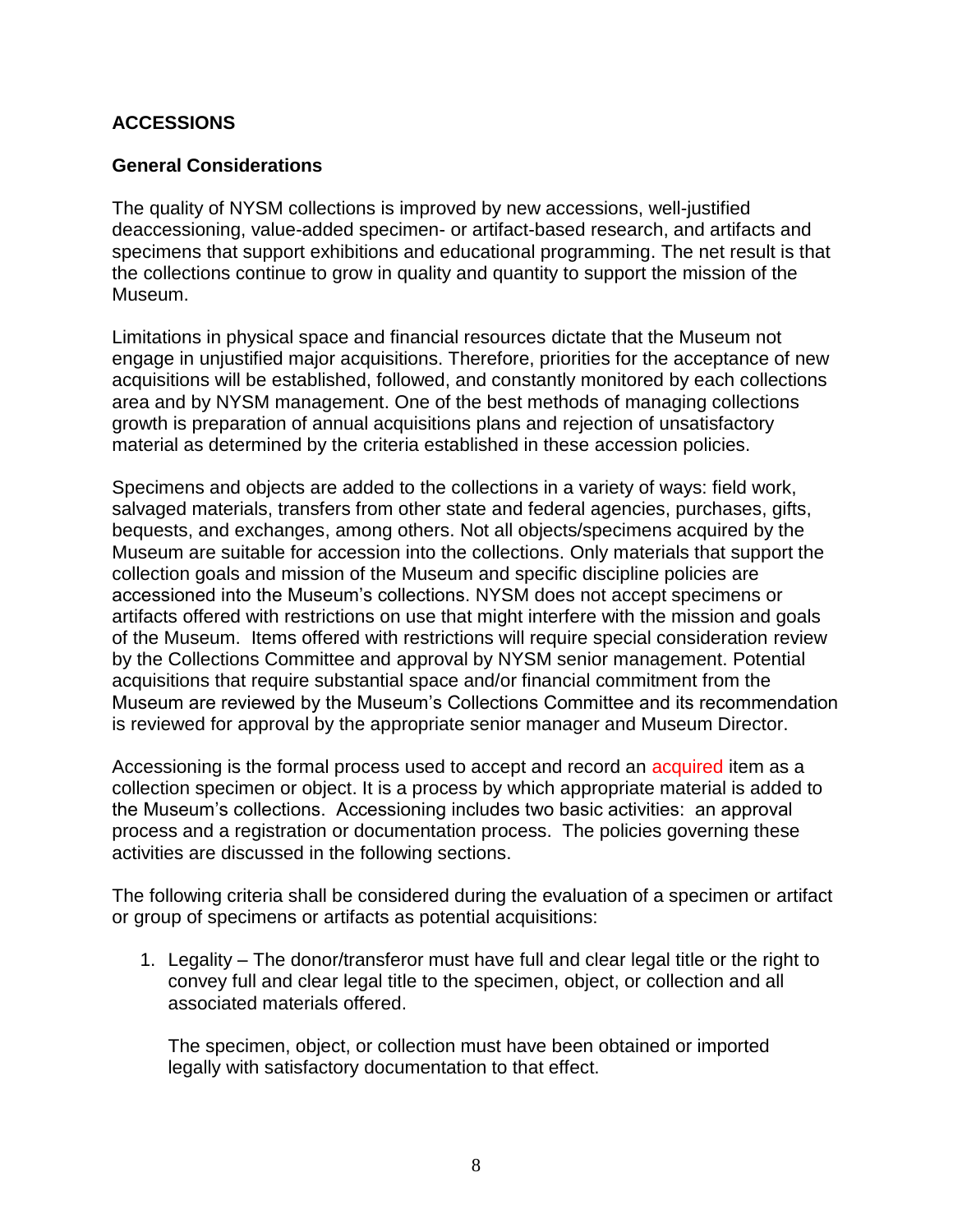## **ACCESSIONS**

### **General Considerations**

The quality of NYSM collections is improved by new accessions, well-justified deaccessioning, value-added specimen- or artifact-based research, and artifacts and specimens that support exhibitions and educational programming. The net result is that the collections continue to grow in quality and quantity to support the mission of the Museum.

Limitations in physical space and financial resources dictate that the Museum not engage in unjustified major acquisitions. Therefore, priorities for the acceptance of new acquisitions will be established, followed, and constantly monitored by each collections area and by NYSM management. One of the best methods of managing collections growth is preparation of annual acquisitions plans and rejection of unsatisfactory material as determined by the criteria established in these accession policies.

Specimens and objects are added to the collections in a variety of ways: field work, salvaged materials, transfers from other state and federal agencies, purchases, gifts, bequests, and exchanges, among others. Not all objects/specimens acquired by the Museum are suitable for accession into the collections. Only materials that support the collection goals and mission of the Museum and specific discipline policies are accessioned into the Museum's collections. NYSM does not accept specimens or artifacts offered with restrictions on use that might interfere with the mission and goals of the Museum. Items offered with restrictions will require special consideration review by the Collections Committee and approval by NYSM senior management. Potential acquisitions that require substantial space and/or financial commitment from the Museum are reviewed by the Museum's Collections Committee and its recommendation is reviewed for approval by the appropriate senior manager and Museum Director.

Accessioning is the formal process used to accept and record an acquired item as a collection specimen or object. It is a process by which appropriate material is added to the Museum's collections. Accessioning includes two basic activities: an approval process and a registration or documentation process. The policies governing these activities are discussed in the following sections.

The following criteria shall be considered during the evaluation of a specimen or artifact or group of specimens or artifacts as potential acquisitions:

1. Legality – The donor/transferor must have full and clear legal title or the right to convey full and clear legal title to the specimen, object, or collection and all associated materials offered.

The specimen, object, or collection must have been obtained or imported legally with satisfactory documentation to that effect.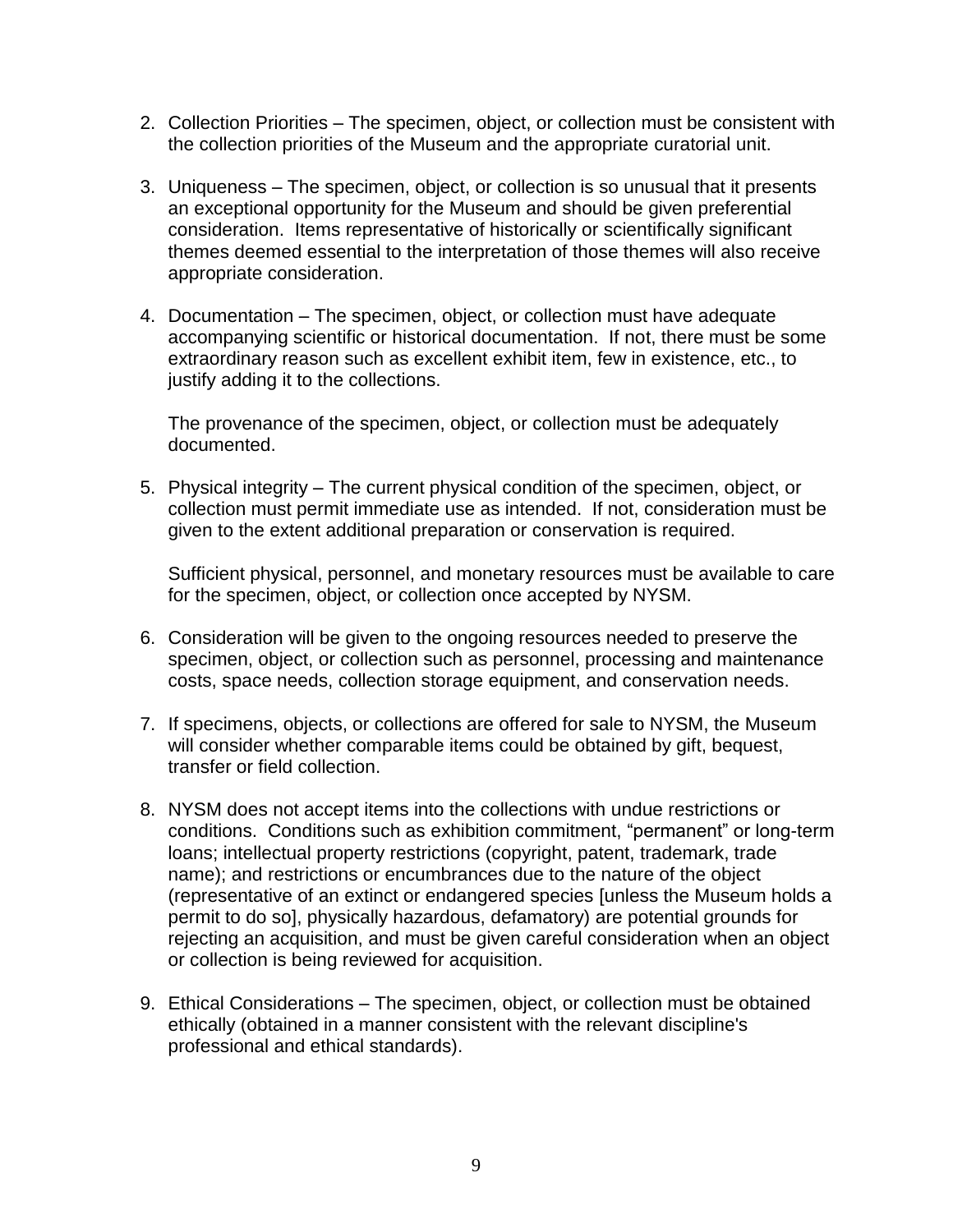- 2. Collection Priorities The specimen, object, or collection must be consistent with the collection priorities of the Museum and the appropriate curatorial unit.
- 3. Uniqueness The specimen, object, or collection is so unusual that it presents an exceptional opportunity for the Museum and should be given preferential consideration. Items representative of historically or scientifically significant themes deemed essential to the interpretation of those themes will also receive appropriate consideration.
- 4. Documentation The specimen, object, or collection must have adequate accompanying scientific or historical documentation. If not, there must be some extraordinary reason such as excellent exhibit item, few in existence, etc., to justify adding it to the collections.

The provenance of the specimen, object, or collection must be adequately documented.

5. Physical integrity – The current physical condition of the specimen, object, or collection must permit immediate use as intended. If not, consideration must be given to the extent additional preparation or conservation is required.

Sufficient physical, personnel, and monetary resources must be available to care for the specimen, object, or collection once accepted by NYSM.

- 6. Consideration will be given to the ongoing resources needed to preserve the specimen, object, or collection such as personnel, processing and maintenance costs, space needs, collection storage equipment, and conservation needs.
- 7. If specimens, objects, or collections are offered for sale to NYSM, the Museum will consider whether comparable items could be obtained by gift, bequest, transfer or field collection.
- 8. NYSM does not accept items into the collections with undue restrictions or conditions. Conditions such as exhibition commitment, "permanent" or long-term loans; intellectual property restrictions (copyright, patent, trademark, trade name); and restrictions or encumbrances due to the nature of the object (representative of an extinct or endangered species [unless the Museum holds a permit to do so], physically hazardous, defamatory) are potential grounds for rejecting an acquisition, and must be given careful consideration when an object or collection is being reviewed for acquisition.
- 9. Ethical Considerations The specimen, object, or collection must be obtained ethically (obtained in a manner consistent with the relevant discipline's professional and ethical standards).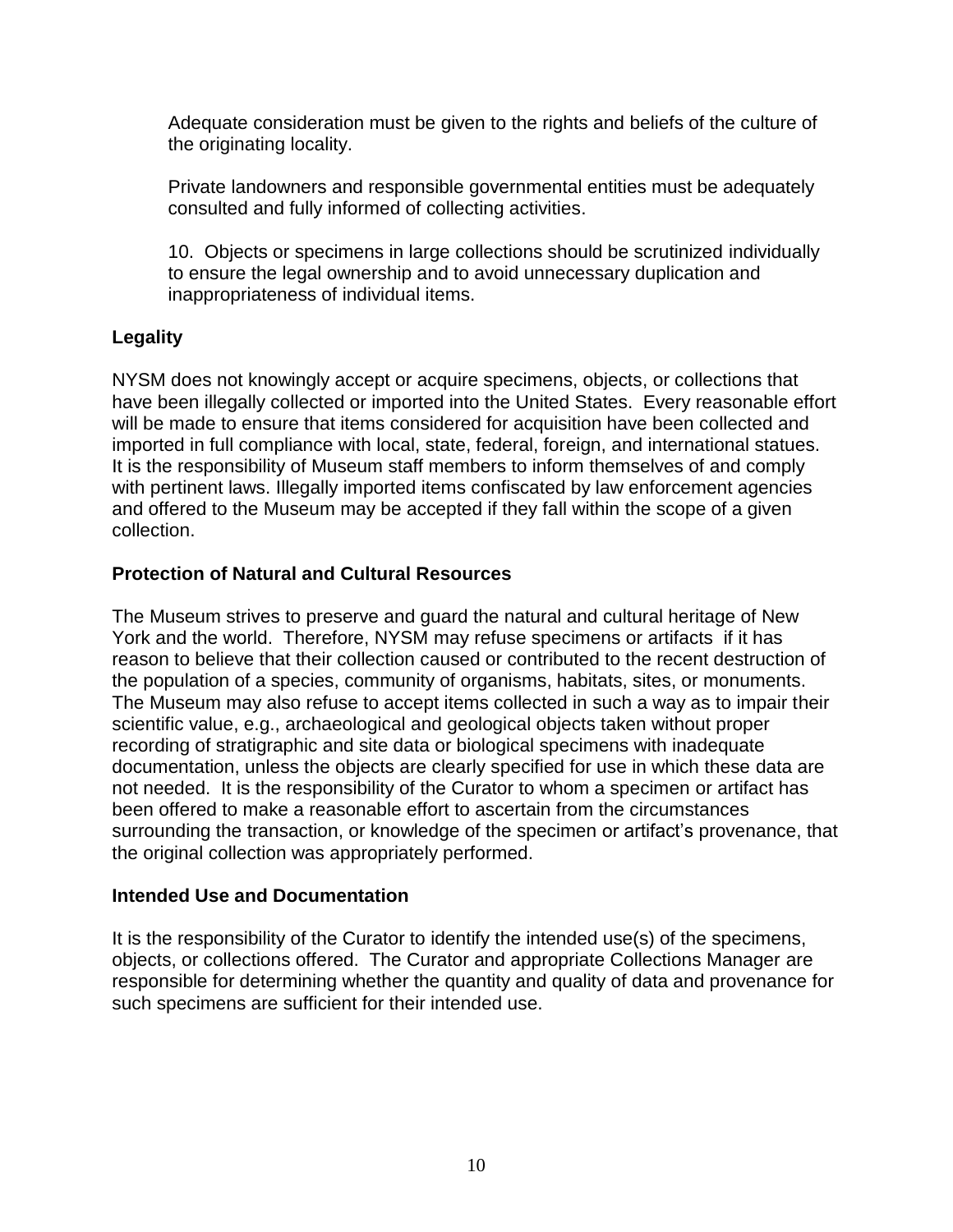Adequate consideration must be given to the rights and beliefs of the culture of the originating locality.

Private landowners and responsible governmental entities must be adequately consulted and fully informed of collecting activities.

10. Objects or specimens in large collections should be scrutinized individually to ensure the legal ownership and to avoid unnecessary duplication and inappropriateness of individual items.

# **Legality**

NYSM does not knowingly accept or acquire specimens, objects, or collections that have been illegally collected or imported into the United States. Every reasonable effort will be made to ensure that items considered for acquisition have been collected and imported in full compliance with local, state, federal, foreign, and international statues. It is the responsibility of Museum staff members to inform themselves of and comply with pertinent laws. Illegally imported items confiscated by law enforcement agencies and offered to the Museum may be accepted if they fall within the scope of a given collection.

# **Protection of Natural and Cultural Resources**

The Museum strives to preserve and guard the natural and cultural heritage of New York and the world. Therefore, NYSM may refuse specimens or artifacts if it has reason to believe that their collection caused or contributed to the recent destruction of the population of a species, community of organisms, habitats, sites, or monuments. The Museum may also refuse to accept items collected in such a way as to impair their scientific value, e.g., archaeological and geological objects taken without proper recording of stratigraphic and site data or biological specimens with inadequate documentation, unless the objects are clearly specified for use in which these data are not needed. It is the responsibility of the Curator to whom a specimen or artifact has been offered to make a reasonable effort to ascertain from the circumstances surrounding the transaction, or knowledge of the specimen or artifact's provenance, that the original collection was appropriately performed.

# **Intended Use and Documentation**

It is the responsibility of the Curator to identify the intended use(s) of the specimens, objects, or collections offered. The Curator and appropriate Collections Manager are responsible for determining whether the quantity and quality of data and provenance for such specimens are sufficient for their intended use.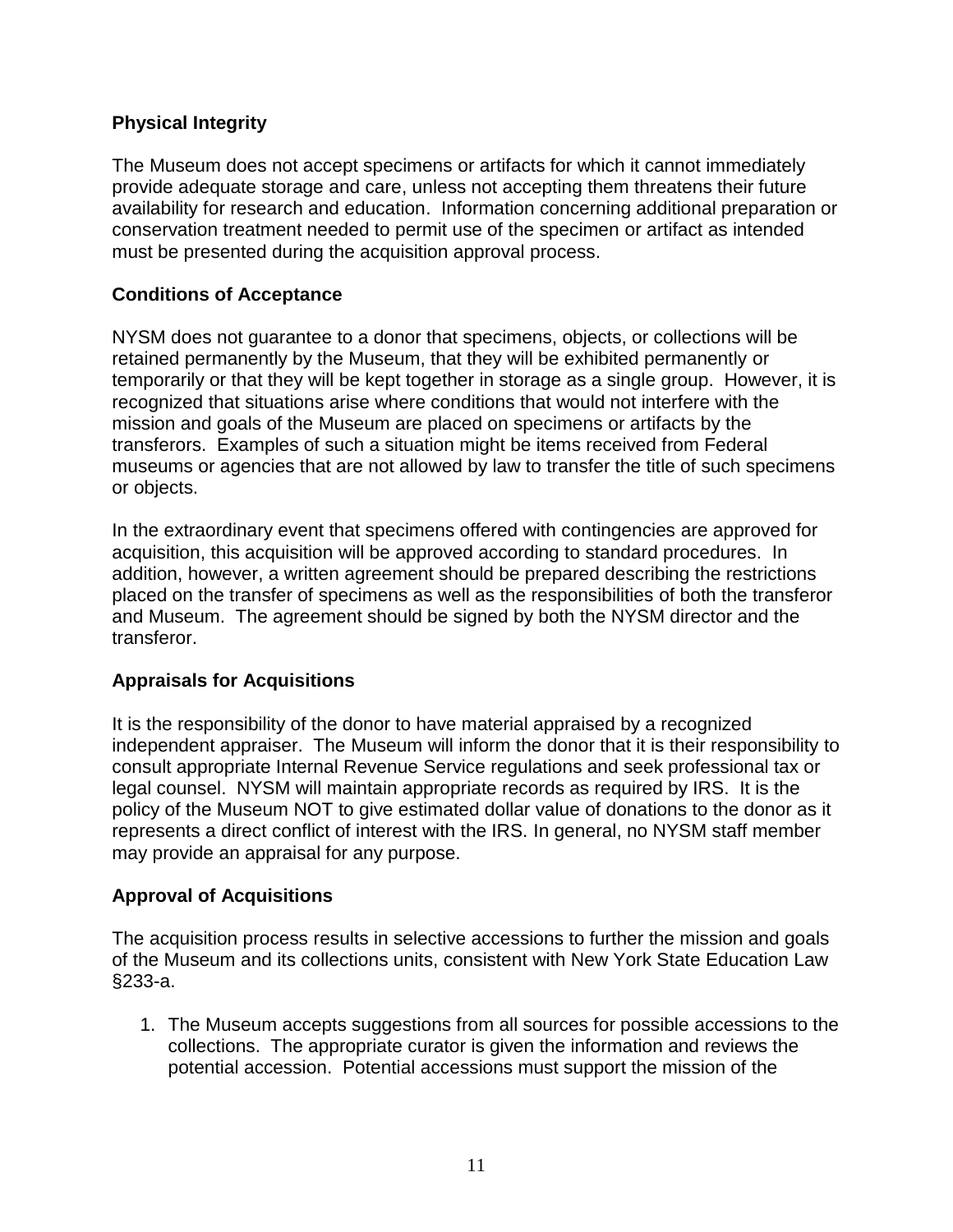## **Physical Integrity**

The Museum does not accept specimens or artifacts for which it cannot immediately provide adequate storage and care, unless not accepting them threatens their future availability for research and education. Information concerning additional preparation or conservation treatment needed to permit use of the specimen or artifact as intended must be presented during the acquisition approval process.

## **Conditions of Acceptance**

NYSM does not guarantee to a donor that specimens, objects, or collections will be retained permanently by the Museum, that they will be exhibited permanently or temporarily or that they will be kept together in storage as a single group. However, it is recognized that situations arise where conditions that would not interfere with the mission and goals of the Museum are placed on specimens or artifacts by the transferors. Examples of such a situation might be items received from Federal museums or agencies that are not allowed by law to transfer the title of such specimens or objects.

In the extraordinary event that specimens offered with contingencies are approved for acquisition, this acquisition will be approved according to standard procedures. In addition, however, a written agreement should be prepared describing the restrictions placed on the transfer of specimens as well as the responsibilities of both the transferor and Museum. The agreement should be signed by both the NYSM director and the transferor.

#### **Appraisals for Acquisitions**

It is the responsibility of the donor to have material appraised by a recognized independent appraiser. The Museum will inform the donor that it is their responsibility to consult appropriate Internal Revenue Service regulations and seek professional tax or legal counsel. NYSM will maintain appropriate records as required by IRS. It is the policy of the Museum NOT to give estimated dollar value of donations to the donor as it represents a direct conflict of interest with the IRS. In general, no NYSM staff member may provide an appraisal for any purpose.

#### **Approval of Acquisitions**

The acquisition process results in selective accessions to further the mission and goals of the Museum and its collections units, consistent with New York State Education Law §233-a.

1. The Museum accepts suggestions from all sources for possible accessions to the collections. The appropriate curator is given the information and reviews the potential accession. Potential accessions must support the mission of the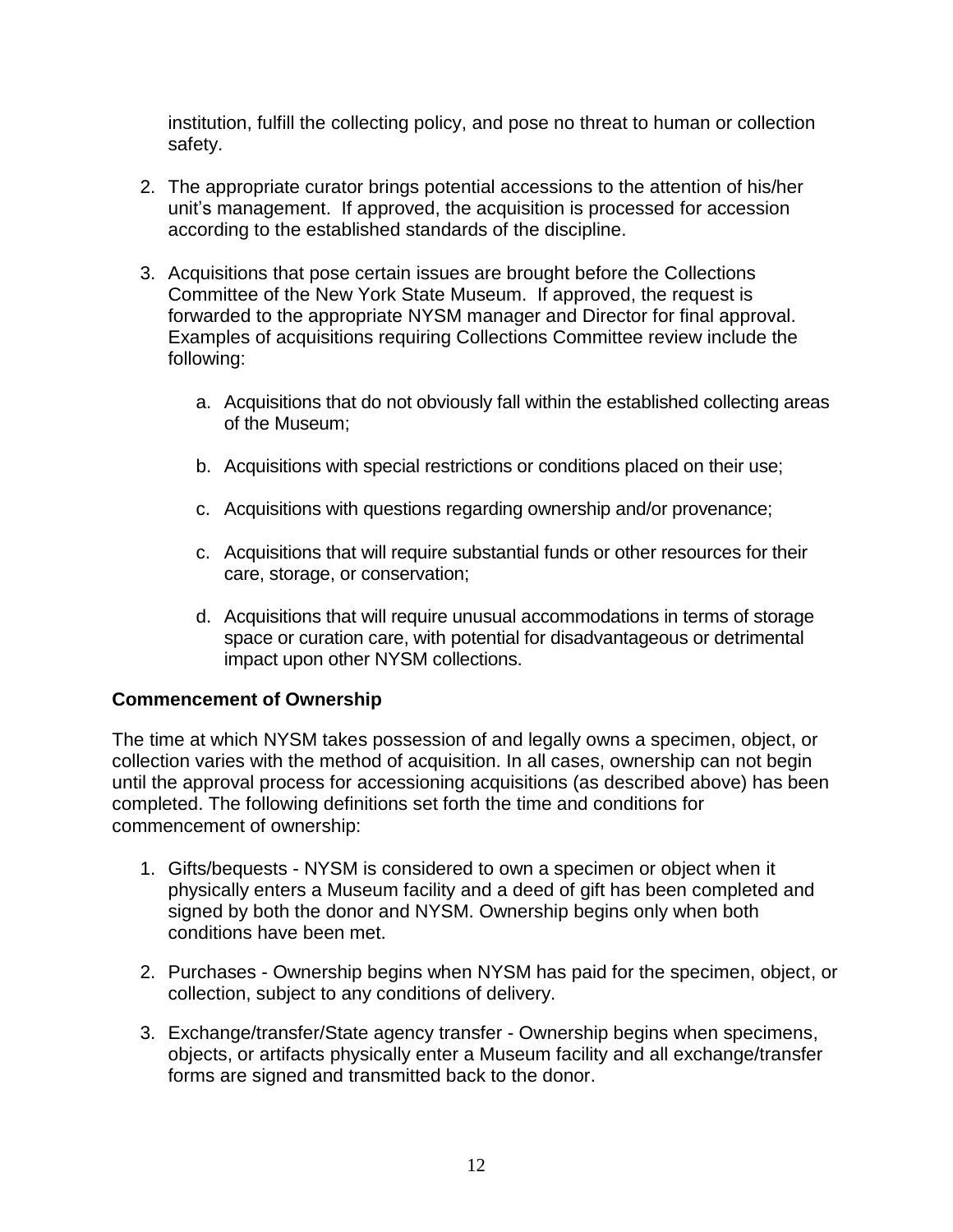institution, fulfill the collecting policy, and pose no threat to human or collection safety.

- 2. The appropriate curator brings potential accessions to the attention of his/her unit's management. If approved, the acquisition is processed for accession according to the established standards of the discipline.
- 3. Acquisitions that pose certain issues are brought before the Collections Committee of the New York State Museum. If approved, the request is forwarded to the appropriate NYSM manager and Director for final approval. Examples of acquisitions requiring Collections Committee review include the following:
	- a. Acquisitions that do not obviously fall within the established collecting areas of the Museum;
	- b. Acquisitions with special restrictions or conditions placed on their use;
	- c. Acquisitions with questions regarding ownership and/or provenance;
	- c. Acquisitions that will require substantial funds or other resources for their care, storage, or conservation;
	- d. Acquisitions that will require unusual accommodations in terms of storage space or curation care, with potential for disadvantageous or detrimental impact upon other NYSM collections.

#### **Commencement of Ownership**

The time at which NYSM takes possession of and legally owns a specimen, object, or collection varies with the method of acquisition. In all cases, ownership can not begin until the approval process for accessioning acquisitions (as described above) has been completed. The following definitions set forth the time and conditions for commencement of ownership:

- 1. Gifts/bequests NYSM is considered to own a specimen or object when it physically enters a Museum facility and a deed of gift has been completed and signed by both the donor and NYSM. Ownership begins only when both conditions have been met.
- 2. Purchases Ownership begins when NYSM has paid for the specimen, object, or collection, subject to any conditions of delivery.
- 3. Exchange/transfer/State agency transfer Ownership begins when specimens, objects, or artifacts physically enter a Museum facility and all exchange/transfer forms are signed and transmitted back to the donor.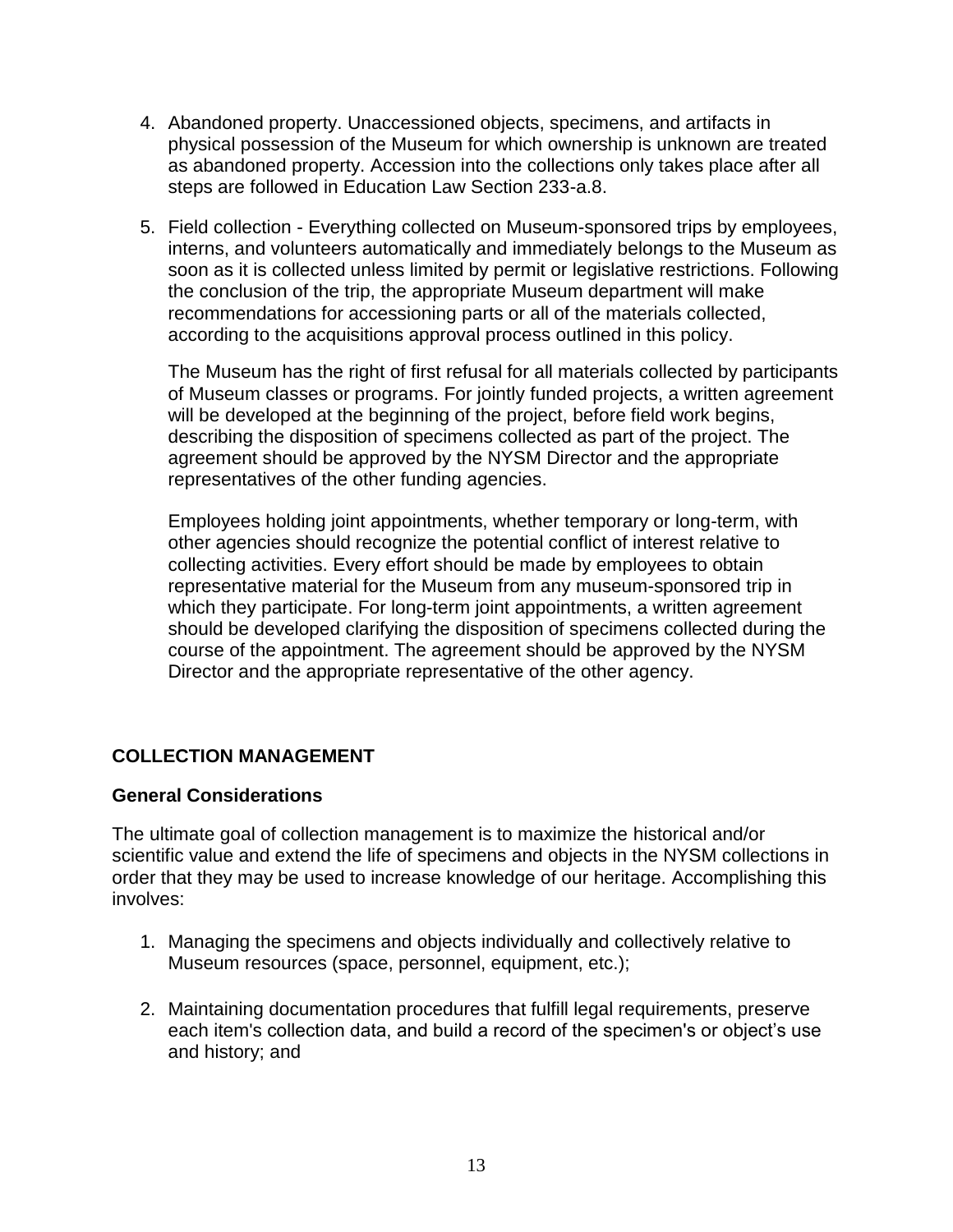- 4. Abandoned property. Unaccessioned objects, specimens, and artifacts in physical possession of the Museum for which ownership is unknown are treated as abandoned property. Accession into the collections only takes place after all steps are followed in Education Law Section 233-a.8.
- 5. Field collection Everything collected on Museum-sponsored trips by employees, interns, and volunteers automatically and immediately belongs to the Museum as soon as it is collected unless limited by permit or legislative restrictions. Following the conclusion of the trip, the appropriate Museum department will make recommendations for accessioning parts or all of the materials collected, according to the acquisitions approval process outlined in this policy.

The Museum has the right of first refusal for all materials collected by participants of Museum classes or programs. For jointly funded projects, a written agreement will be developed at the beginning of the project, before field work begins, describing the disposition of specimens collected as part of the project. The agreement should be approved by the NYSM Director and the appropriate representatives of the other funding agencies.

Employees holding joint appointments, whether temporary or long-term, with other agencies should recognize the potential conflict of interest relative to collecting activities. Every effort should be made by employees to obtain representative material for the Museum from any museum-sponsored trip in which they participate. For long-term joint appointments, a written agreement should be developed clarifying the disposition of specimens collected during the course of the appointment. The agreement should be approved by the NYSM Director and the appropriate representative of the other agency.

# **COLLECTION MANAGEMENT**

# **General Considerations**

The ultimate goal of collection management is to maximize the historical and/or scientific value and extend the life of specimens and objects in the NYSM collections in order that they may be used to increase knowledge of our heritage. Accomplishing this involves:

- 1. Managing the specimens and objects individually and collectively relative to Museum resources (space, personnel, equipment, etc.);
- 2. Maintaining documentation procedures that fulfill legal requirements, preserve each item's collection data, and build a record of the specimen's or object's use and history; and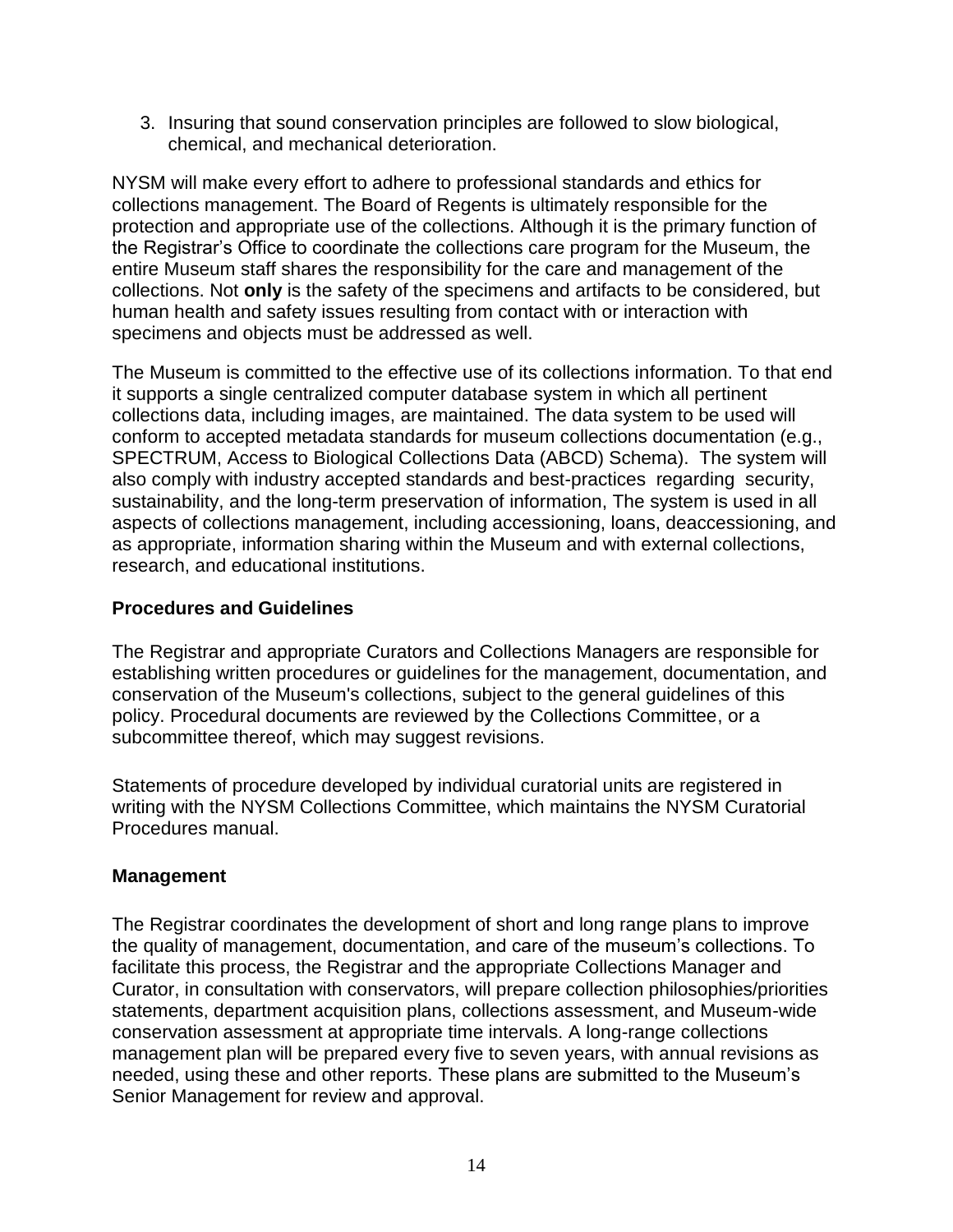3. Insuring that sound conservation principles are followed to slow biological, chemical, and mechanical deterioration.

NYSM will make every effort to adhere to professional standards and ethics for collections management. The Board of Regents is ultimately responsible for the protection and appropriate use of the collections. Although it is the primary function of the Registrar's Office to coordinate the collections care program for the Museum, the entire Museum staff shares the responsibility for the care and management of the collections. Not **only** is the safety of the specimens and artifacts to be considered, but human health and safety issues resulting from contact with or interaction with specimens and objects must be addressed as well.

The Museum is committed to the effective use of its collections information. To that end it supports a single centralized computer database system in which all pertinent collections data, including images, are maintained. The data system to be used will conform to accepted metadata standards for museum collections documentation (e.g., SPECTRUM, [Access to Biological Collections Data \(ABCD\) Schema\)](http://www.pro.rcip-chin.gc.ca/GetForumRecord.do?lang=en&type=sd&id=FORUM_23089). The system will also comply with industry accepted standards and best-practices regarding security, sustainability, and the long-term preservation of information, The system is used in all aspects of collections management, including accessioning, loans, deaccessioning, and as appropriate, information sharing within the Museum and with external collections, research, and educational institutions.

## **Procedures and Guidelines**

The Registrar and appropriate Curators and Collections Managers are responsible for establishing written procedures or guidelines for the management, documentation, and conservation of the Museum's collections, subject to the general guidelines of this policy. Procedural documents are reviewed by the Collections Committee, or a subcommittee thereof, which may suggest revisions.

Statements of procedure developed by individual curatorial units are registered in writing with the NYSM Collections Committee, which maintains the NYSM Curatorial Procedures manual.

#### **Management**

The Registrar coordinates the development of short and long range plans to improve the quality of management, documentation, and care of the museum's collections. To facilitate this process, the Registrar and the appropriate Collections Manager and Curator, in consultation with conservators, will prepare collection philosophies/priorities statements, department acquisition plans, collections assessment, and Museum-wide conservation assessment at appropriate time intervals. A long-range collections management plan will be prepared every five to seven years, with annual revisions as needed, using these and other reports. These plans are submitted to the Museum's Senior Management for review and approval.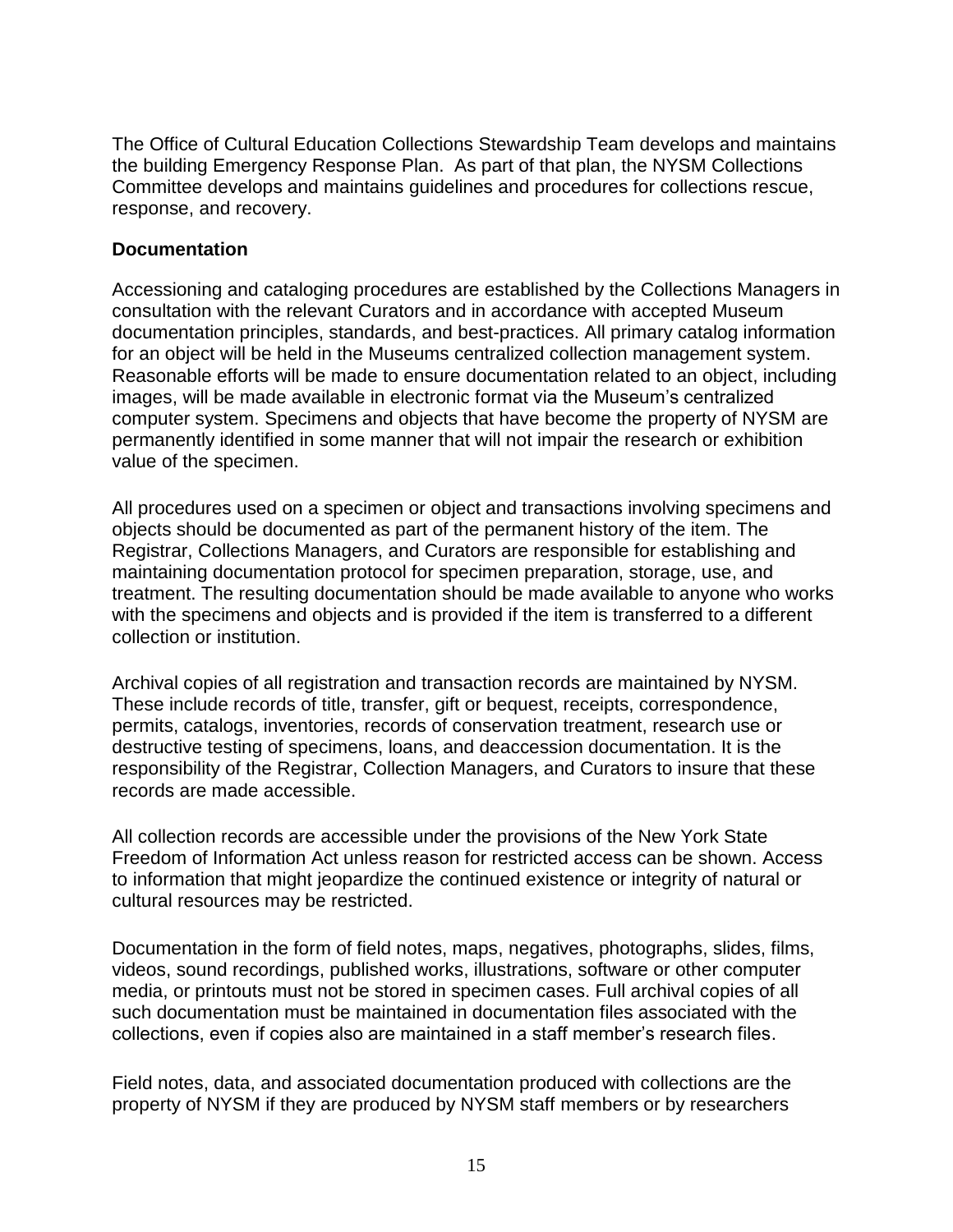The Office of Cultural Education Collections Stewardship Team develops and maintains the building Emergency Response Plan. As part of that plan, the NYSM Collections Committee develops and maintains guidelines and procedures for collections rescue, response, and recovery.

#### **Documentation**

Accessioning and cataloging procedures are established by the Collections Managers in consultation with the relevant Curators and in accordance with accepted Museum documentation principles, standards, and best-practices. All primary catalog information for an object will be held in the Museums centralized collection management system. Reasonable efforts will be made to ensure documentation related to an object, including images, will be made available in electronic format via the Museum's centralized computer system. Specimens and objects that have become the property of NYSM are permanently identified in some manner that will not impair the research or exhibition value of the specimen.

All procedures used on a specimen or object and transactions involving specimens and objects should be documented as part of the permanent history of the item. The Registrar, Collections Managers, and Curators are responsible for establishing and maintaining documentation protocol for specimen preparation, storage, use, and treatment. The resulting documentation should be made available to anyone who works with the specimens and objects and is provided if the item is transferred to a different collection or institution.

Archival copies of all registration and transaction records are maintained by NYSM. These include records of title, transfer, gift or bequest, receipts, correspondence, permits, catalogs, inventories, records of conservation treatment, research use or destructive testing of specimens, loans, and deaccession documentation. It is the responsibility of the Registrar, Collection Managers, and Curators to insure that these records are made accessible.

All collection records are accessible under the provisions of the New York State Freedom of Information Act unless reason for restricted access can be shown. Access to information that might jeopardize the continued existence or integrity of natural or cultural resources may be restricted.

Documentation in the form of field notes, maps, negatives, photographs, slides, films, videos, sound recordings, published works, illustrations, software or other computer media, or printouts must not be stored in specimen cases. Full archival copies of all such documentation must be maintained in documentation files associated with the collections, even if copies also are maintained in a staff member's research files.

Field notes, data, and associated documentation produced with collections are the property of NYSM if they are produced by NYSM staff members or by researchers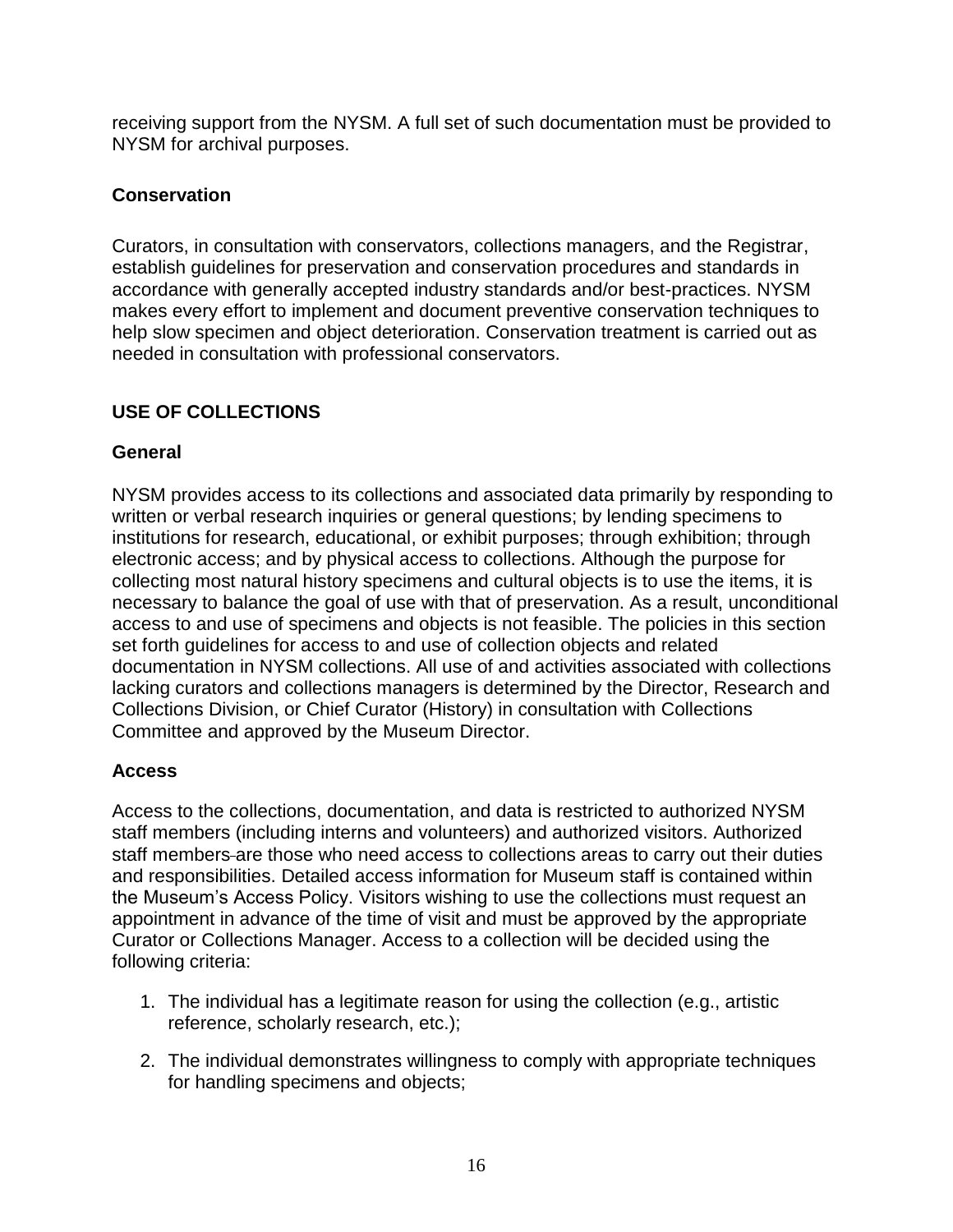receiving support from the NYSM. A full set of such documentation must be provided to NYSM for archival purposes.

# **Conservation**

Curators, in consultation with conservators, collections managers, and the Registrar, establish guidelines for preservation and conservation procedures and standards in accordance with generally accepted industry standards and/or best-practices. NYSM makes every effort to implement and document preventive conservation techniques to help slow specimen and object deterioration. Conservation treatment is carried out as needed in consultation with professional conservators.

# **USE OF COLLECTIONS**

# **General**

NYSM provides access to its collections and associated data primarily by responding to written or verbal research inquiries or general questions; by lending specimens to institutions for research, educational, or exhibit purposes; through exhibition; through electronic access; and by physical access to collections. Although the purpose for collecting most natural history specimens and cultural objects is to use the items, it is necessary to balance the goal of use with that of preservation. As a result, unconditional access to and use of specimens and objects is not feasible. The policies in this section set forth guidelines for access to and use of collection objects and related documentation in NYSM collections. All use of and activities associated with collections lacking curators and collections managers is determined by the Director, Research and Collections Division, or Chief Curator (History) in consultation with Collections Committee and approved by the Museum Director.

# **Access**

Access to the collections, documentation, and data is restricted to authorized NYSM staff members (including interns and volunteers) and authorized visitors. Authorized staff members-are those who need access to collections areas to carry out their duties and responsibilities. Detailed access information for Museum staff is contained within the Museum's Access Policy. Visitors wishing to use the collections must request an appointment in advance of the time of visit and must be approved by the appropriate Curator or Collections Manager. Access to a collection will be decided using the following criteria:

- 1. The individual has a legitimate reason for using the collection (e.g., artistic reference, scholarly research, etc.);
- 2. The individual demonstrates willingness to comply with appropriate techniques for handling specimens and objects;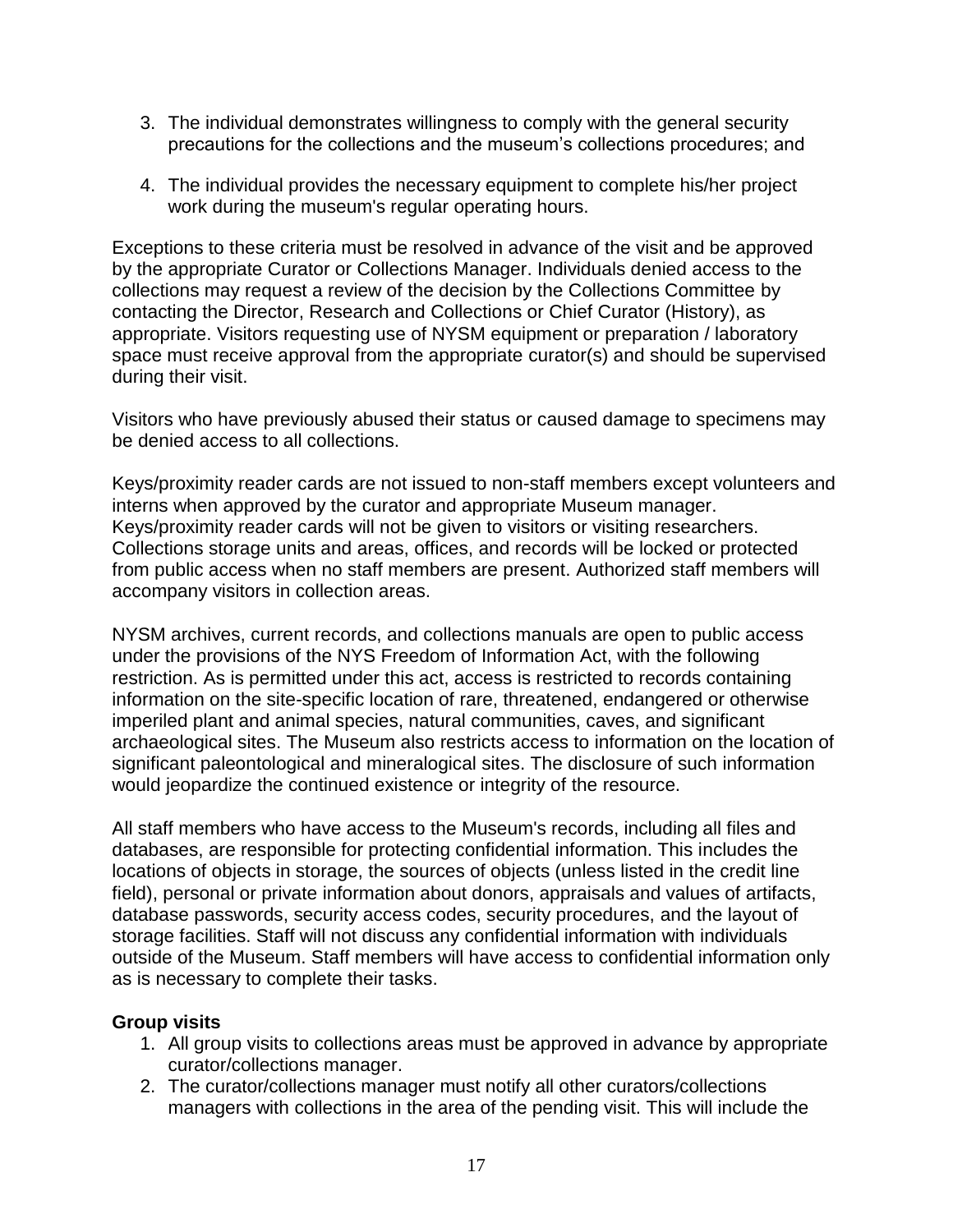- 3. The individual demonstrates willingness to comply with the general security precautions for the collections and the museum's collections procedures; and
- 4. The individual provides the necessary equipment to complete his/her project work during the museum's regular operating hours.

Exceptions to these criteria must be resolved in advance of the visit and be approved by the appropriate Curator or Collections Manager. Individuals denied access to the collections may request a review of the decision by the Collections Committee by contacting the Director, Research and Collections or Chief Curator (History), as appropriate. Visitors requesting use of NYSM equipment or preparation / laboratory space must receive approval from the appropriate curator(s) and should be supervised during their visit.

Visitors who have previously abused their status or caused damage to specimens may be denied access to all collections.

Keys/proximity reader cards are not issued to non-staff members except volunteers and interns when approved by the curator and appropriate Museum manager. Keys/proximity reader cards will not be given to visitors or visiting researchers. Collections storage units and areas, offices, and records will be locked or protected from public access when no staff members are present. Authorized staff members will accompany visitors in collection areas.

NYSM archives, current records, and collections manuals are open to public access under the provisions of the NYS Freedom of Information Act, with the following restriction. As is permitted under this act, access is restricted to records containing information on the site-specific location of rare, threatened, endangered or otherwise imperiled plant and animal species, natural communities, caves, and significant archaeological sites. The Museum also restricts access to information on the location of significant paleontological and mineralogical sites. The disclosure of such information would jeopardize the continued existence or integrity of the resource.

All staff members who have access to the Museum's records, including all files and databases, are responsible for protecting confidential information. This includes the locations of objects in storage, the sources of objects (unless listed in the credit line field), personal or private information about donors, appraisals and values of artifacts, database passwords, security access codes, security procedures, and the layout of storage facilities. Staff will not discuss any confidential information with individuals outside of the Museum. Staff members will have access to confidential information only as is necessary to complete their tasks.

#### **Group visits**

- 1. All group visits to collections areas must be approved in advance by appropriate curator/collections manager.
- 2. The curator/collections manager must notify all other curators/collections managers with collections in the area of the pending visit. This will include the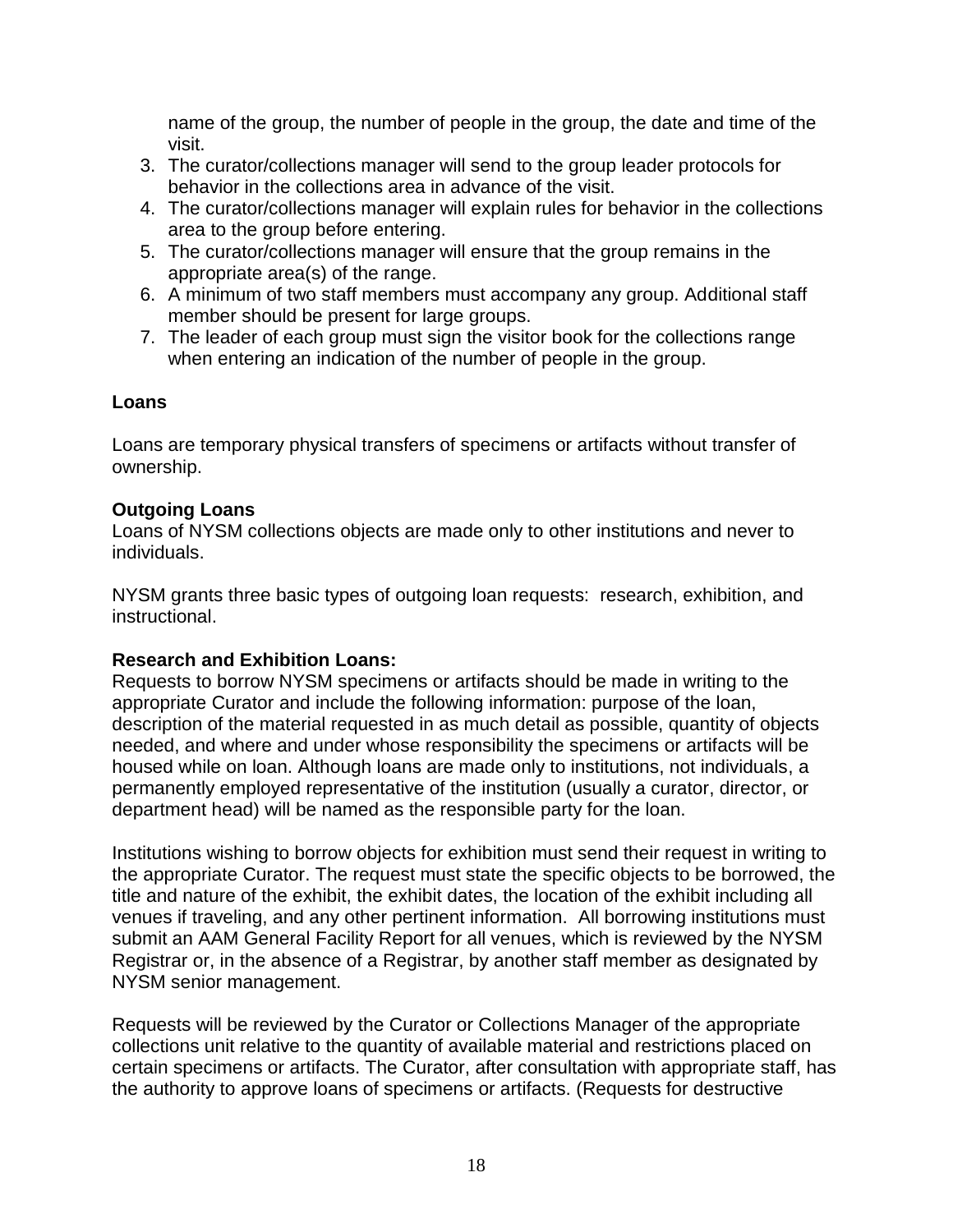name of the group, the number of people in the group, the date and time of the visit.

- 3. The curator/collections manager will send to the group leader protocols for behavior in the collections area in advance of the visit.
- 4. The curator/collections manager will explain rules for behavior in the collections area to the group before entering.
- 5. The curator/collections manager will ensure that the group remains in the appropriate area(s) of the range.
- 6. A minimum of two staff members must accompany any group. Additional staff member should be present for large groups.
- 7. The leader of each group must sign the visitor book for the collections range when entering an indication of the number of people in the group.

## **Loans**

Loans are temporary physical transfers of specimens or artifacts without transfer of ownership.

# **Outgoing Loans**

Loans of NYSM collections objects are made only to other institutions and never to individuals.

NYSM grants three basic types of outgoing loan requests: research, exhibition, and instructional.

# **Research and Exhibition Loans:**

Requests to borrow NYSM specimens or artifacts should be made in writing to the appropriate Curator and include the following information: purpose of the loan, description of the material requested in as much detail as possible, quantity of objects needed, and where and under whose responsibility the specimens or artifacts will be housed while on loan. Although loans are made only to institutions, not individuals, a permanently employed representative of the institution (usually a curator, director, or department head) will be named as the responsible party for the loan.

Institutions wishing to borrow objects for exhibition must send their request in writing to the appropriate Curator. The request must state the specific objects to be borrowed, the title and nature of the exhibit, the exhibit dates, the location of the exhibit including all venues if traveling, and any other pertinent information. All borrowing institutions must submit an AAM General Facility Report for all venues, which is reviewed by the NYSM Registrar or, in the absence of a Registrar, by another staff member as designated by NYSM senior management.

Requests will be reviewed by the Curator or Collections Manager of the appropriate collections unit relative to the quantity of available material and restrictions placed on certain specimens or artifacts. The Curator, after consultation with appropriate staff, has the authority to approve loans of specimens or artifacts. (Requests for destructive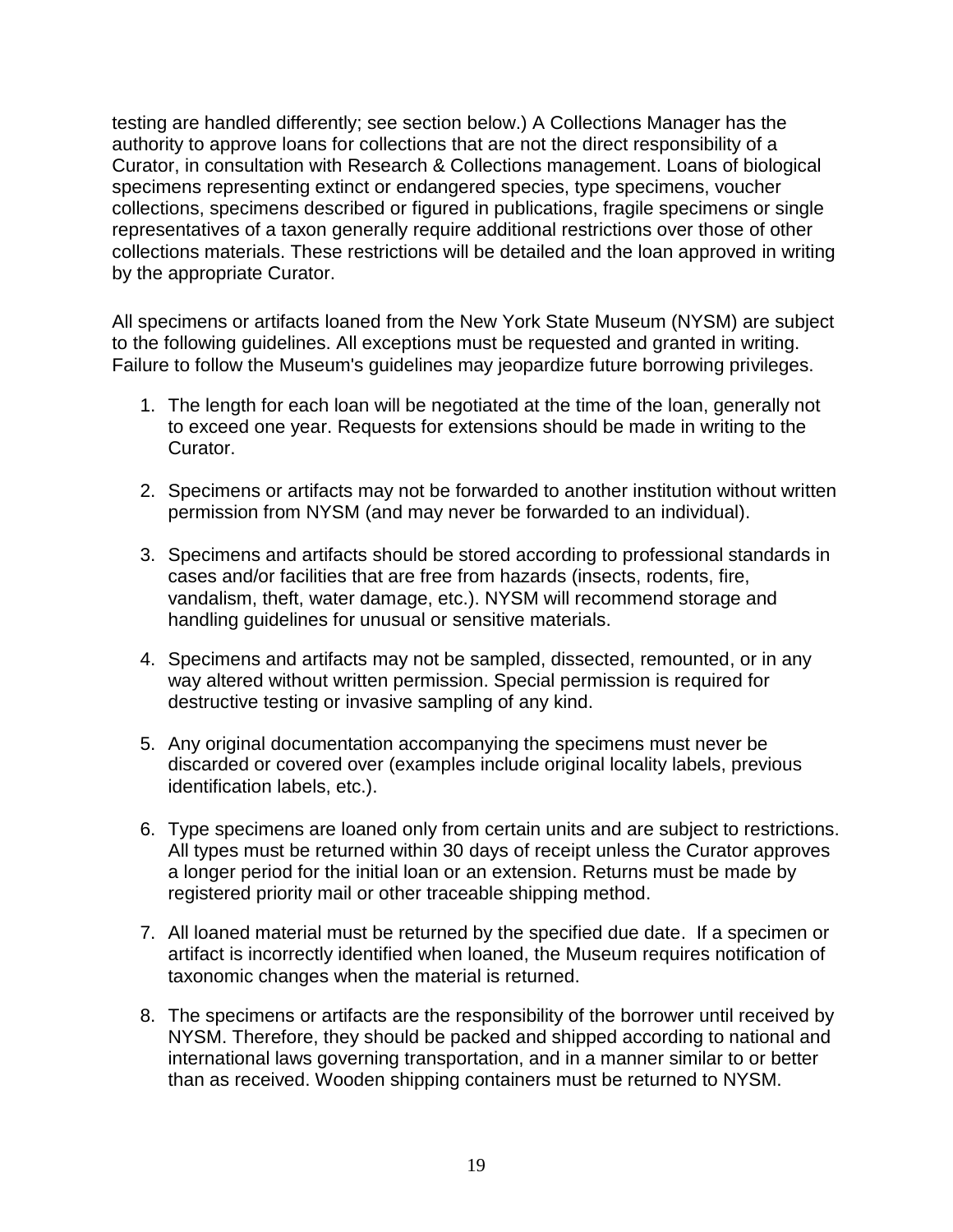testing are handled differently; see section below.) A Collections Manager has the authority to approve loans for collections that are not the direct responsibility of a Curator, in consultation with Research & Collections management. Loans of biological specimens representing extinct or endangered species, type specimens, voucher collections, specimens described or figured in publications, fragile specimens or single representatives of a taxon generally require additional restrictions over those of other collections materials. These restrictions will be detailed and the loan approved in writing by the appropriate Curator.

All specimens or artifacts loaned from the New York State Museum (NYSM) are subject to the following guidelines. All exceptions must be requested and granted in writing. Failure to follow the Museum's guidelines may jeopardize future borrowing privileges.

- 1. The length for each loan will be negotiated at the time of the loan, generally not to exceed one year. Requests for extensions should be made in writing to the Curator.
- 2. Specimens or artifacts may not be forwarded to another institution without written permission from NYSM (and may never be forwarded to an individual).
- 3. Specimens and artifacts should be stored according to professional standards in cases and/or facilities that are free from hazards (insects, rodents, fire, vandalism, theft, water damage, etc.). NYSM will recommend storage and handling guidelines for unusual or sensitive materials.
- 4. Specimens and artifacts may not be sampled, dissected, remounted, or in any way altered without written permission. Special permission is required for destructive testing or invasive sampling of any kind.
- 5. Any original documentation accompanying the specimens must never be discarded or covered over (examples include original locality labels, previous identification labels, etc.).
- 6. Type specimens are loaned only from certain units and are subject to restrictions. All types must be returned within 30 days of receipt unless the Curator approves a longer period for the initial loan or an extension. Returns must be made by registered priority mail or other traceable shipping method.
- 7. All loaned material must be returned by the specified due date. If a specimen or artifact is incorrectly identified when loaned, the Museum requires notification of taxonomic changes when the material is returned.
- 8. The specimens or artifacts are the responsibility of the borrower until received by NYSM. Therefore, they should be packed and shipped according to national and international laws governing transportation, and in a manner similar to or better than as received. Wooden shipping containers must be returned to NYSM.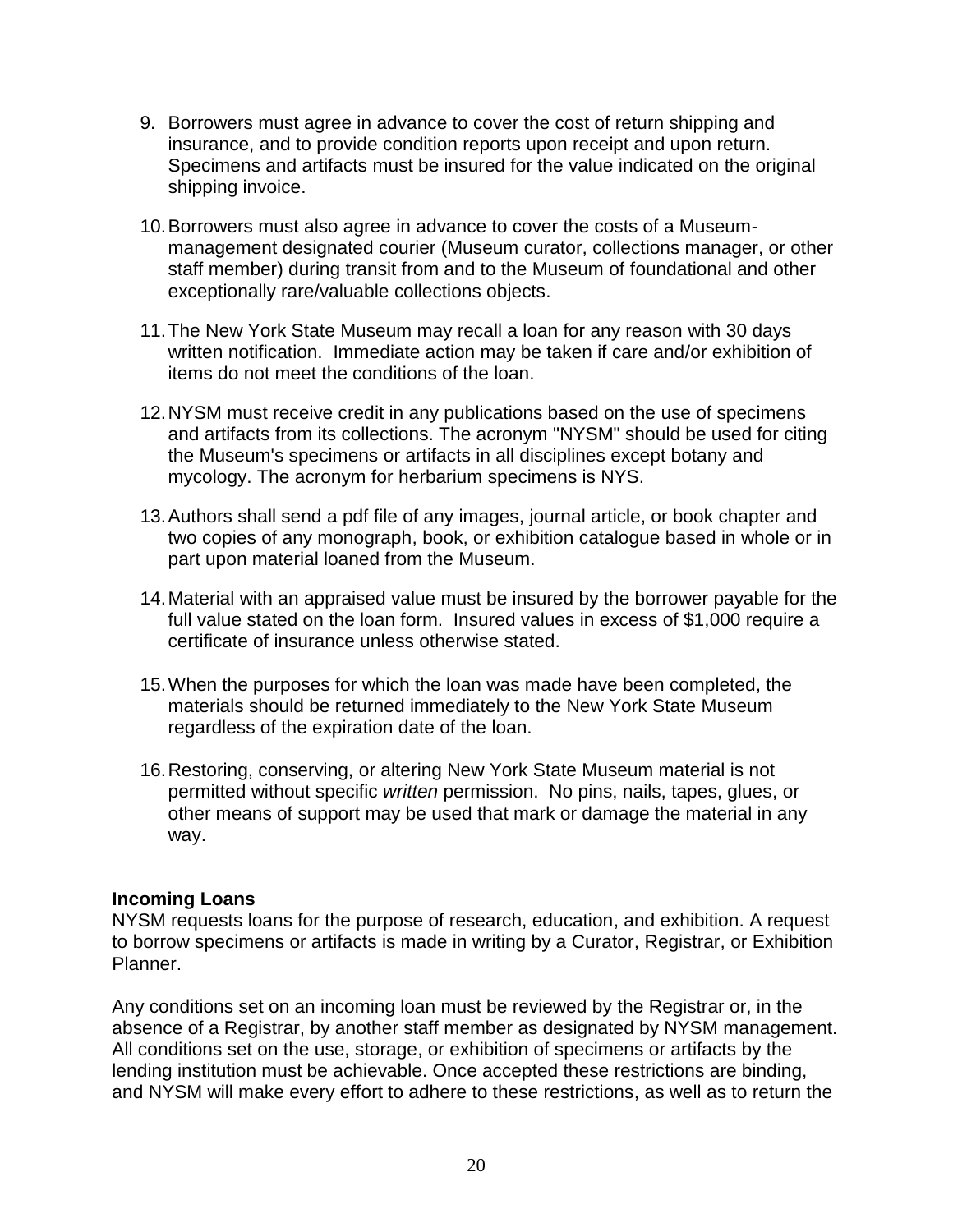- 9. Borrowers must agree in advance to cover the cost of return shipping and insurance, and to provide condition reports upon receipt and upon return. Specimens and artifacts must be insured for the value indicated on the original shipping invoice.
- 10.Borrowers must also agree in advance to cover the costs of a Museummanagement designated courier (Museum curator, collections manager, or other staff member) during transit from and to the Museum of foundational and other exceptionally rare/valuable collections objects.
- 11.The New York State Museum may recall a loan for any reason with 30 days written notification. Immediate action may be taken if care and/or exhibition of items do not meet the conditions of the loan.
- 12.NYSM must receive credit in any publications based on the use of specimens and artifacts from its collections. The acronym "NYSM" should be used for citing the Museum's specimens or artifacts in all disciplines except botany and mycology. The acronym for herbarium specimens is NYS.
- 13.Authors shall send a pdf file of any images, journal article, or book chapter and two copies of any monograph, book, or exhibition catalogue based in whole or in part upon material loaned from the Museum.
- 14.Material with an appraised value must be insured by the borrower payable for the full value stated on the loan form. Insured values in excess of \$1,000 require a certificate of insurance unless otherwise stated.
- 15.When the purposes for which the loan was made have been completed, the materials should be returned immediately to the New York State Museum regardless of the expiration date of the loan.
- 16.Restoring, conserving, or altering New York State Museum material is not permitted without specific *written* permission. No pins, nails, tapes, glues, or other means of support may be used that mark or damage the material in any way.

#### **Incoming Loans**

NYSM requests loans for the purpose of research, education, and exhibition. A request to borrow specimens or artifacts is made in writing by a Curator, Registrar, or Exhibition Planner.

Any conditions set on an incoming loan must be reviewed by the Registrar or, in the absence of a Registrar, by another staff member as designated by NYSM management. All conditions set on the use, storage, or exhibition of specimens or artifacts by the lending institution must be achievable. Once accepted these restrictions are binding, and NYSM will make every effort to adhere to these restrictions, as well as to return the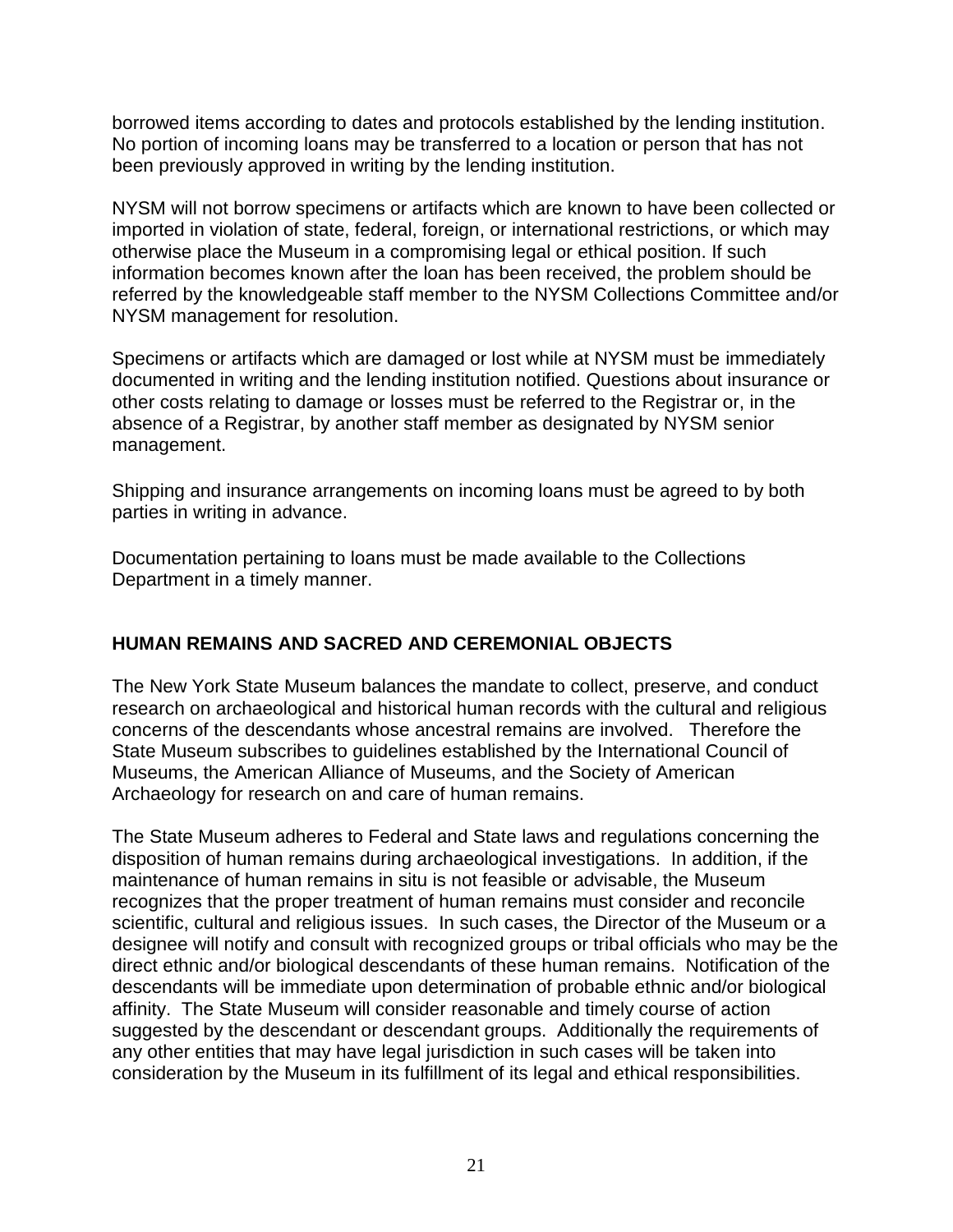borrowed items according to dates and protocols established by the lending institution. No portion of incoming loans may be transferred to a location or person that has not been previously approved in writing by the lending institution.

NYSM will not borrow specimens or artifacts which are known to have been collected or imported in violation of state, federal, foreign, or international restrictions, or which may otherwise place the Museum in a compromising legal or ethical position. If such information becomes known after the loan has been received, the problem should be referred by the knowledgeable staff member to the NYSM Collections Committee and/or NYSM management for resolution.

Specimens or artifacts which are damaged or lost while at NYSM must be immediately documented in writing and the lending institution notified. Questions about insurance or other costs relating to damage or losses must be referred to the Registrar or, in the absence of a Registrar, by another staff member as designated by NYSM senior management.

Shipping and insurance arrangements on incoming loans must be agreed to by both parties in writing in advance.

Documentation pertaining to loans must be made available to the Collections Department in a timely manner.

# **HUMAN REMAINS AND SACRED AND CEREMONIAL OBJECTS**

The New York State Museum balances the mandate to collect, preserve, and conduct research on archaeological and historical human records with the cultural and religious concerns of the descendants whose ancestral remains are involved. Therefore the State Museum subscribes to guidelines established by the International Council of Museums, the American Alliance of Museums, and the Society of American Archaeology for research on and care of human remains.

The State Museum adheres to Federal and State laws and regulations concerning the disposition of human remains during archaeological investigations. In addition, if the maintenance of human remains in situ is not feasible or advisable, the Museum recognizes that the proper treatment of human remains must consider and reconcile scientific, cultural and religious issues. In such cases, the Director of the Museum or a designee will notify and consult with recognized groups or tribal officials who may be the direct ethnic and/or biological descendants of these human remains. Notification of the descendants will be immediate upon determination of probable ethnic and/or biological affinity. The State Museum will consider reasonable and timely course of action suggested by the descendant or descendant groups. Additionally the requirements of any other entities that may have legal jurisdiction in such cases will be taken into consideration by the Museum in its fulfillment of its legal and ethical responsibilities.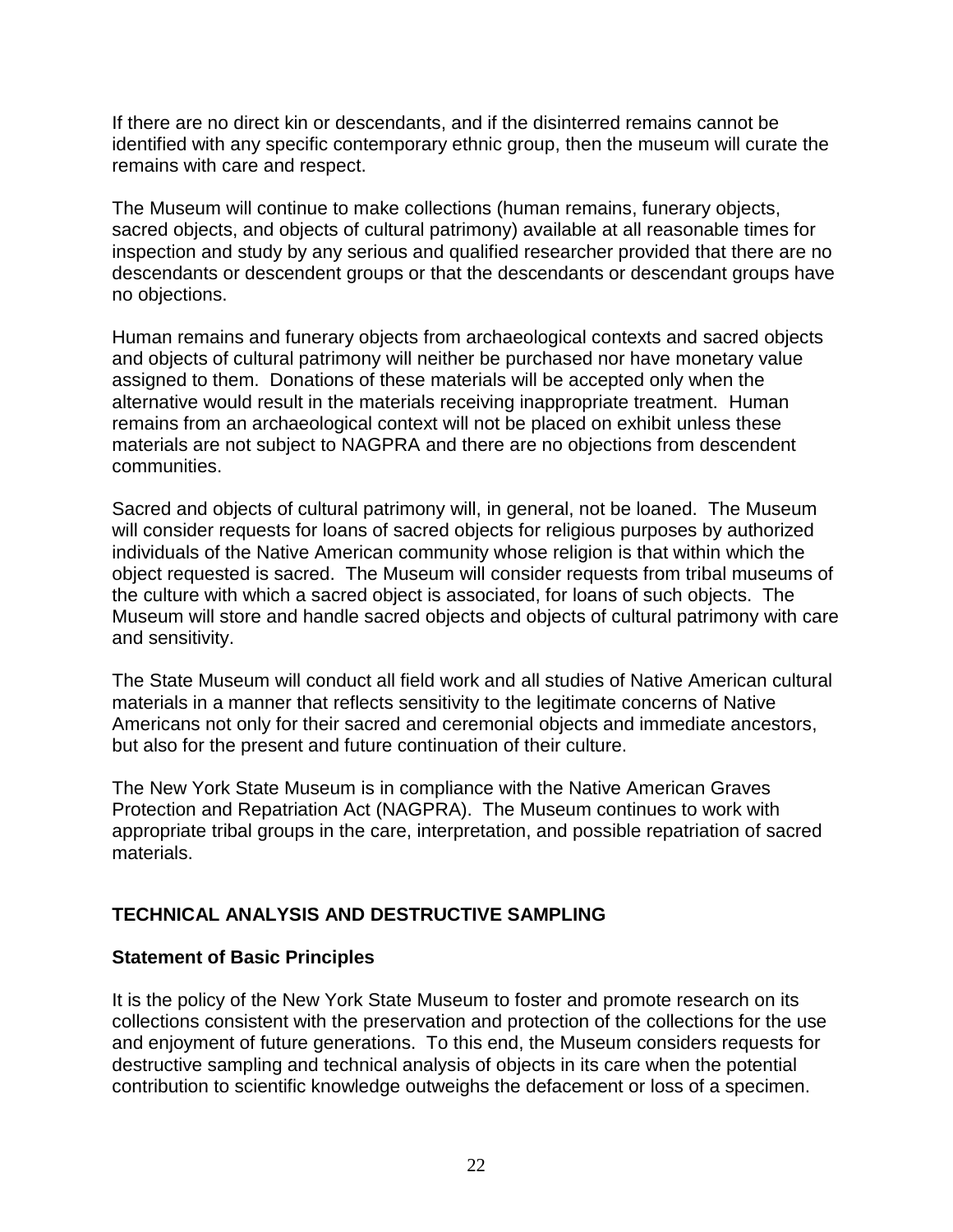If there are no direct kin or descendants, and if the disinterred remains cannot be identified with any specific contemporary ethnic group, then the museum will curate the remains with care and respect.

The Museum will continue to make collections (human remains, funerary objects, sacred objects, and objects of cultural patrimony) available at all reasonable times for inspection and study by any serious and qualified researcher provided that there are no descendants or descendent groups or that the descendants or descendant groups have no objections.

Human remains and funerary objects from archaeological contexts and sacred objects and objects of cultural patrimony will neither be purchased nor have monetary value assigned to them. Donations of these materials will be accepted only when the alternative would result in the materials receiving inappropriate treatment. Human remains from an archaeological context will not be placed on exhibit unless these materials are not subject to NAGPRA and there are no objections from descendent communities.

Sacred and objects of cultural patrimony will, in general, not be loaned. The Museum will consider requests for loans of sacred objects for religious purposes by authorized individuals of the Native American community whose religion is that within which the object requested is sacred. The Museum will consider requests from tribal museums of the culture with which a sacred object is associated, for loans of such objects. The Museum will store and handle sacred objects and objects of cultural patrimony with care and sensitivity.

The State Museum will conduct all field work and all studies of Native American cultural materials in a manner that reflects sensitivity to the legitimate concerns of Native Americans not only for their sacred and ceremonial objects and immediate ancestors, but also for the present and future continuation of their culture.

The New York State Museum is in compliance with the Native American Graves Protection and Repatriation Act (NAGPRA). The Museum continues to work with appropriate tribal groups in the care, interpretation, and possible repatriation of sacred materials.

# **TECHNICAL ANALYSIS AND DESTRUCTIVE SAMPLING**

# **Statement of Basic Principles**

It is the policy of the New York State Museum to foster and promote research on its collections consistent with the preservation and protection of the collections for the use and enjoyment of future generations. To this end, the Museum considers requests for destructive sampling and technical analysis of objects in its care when the potential contribution to scientific knowledge outweighs the defacement or loss of a specimen.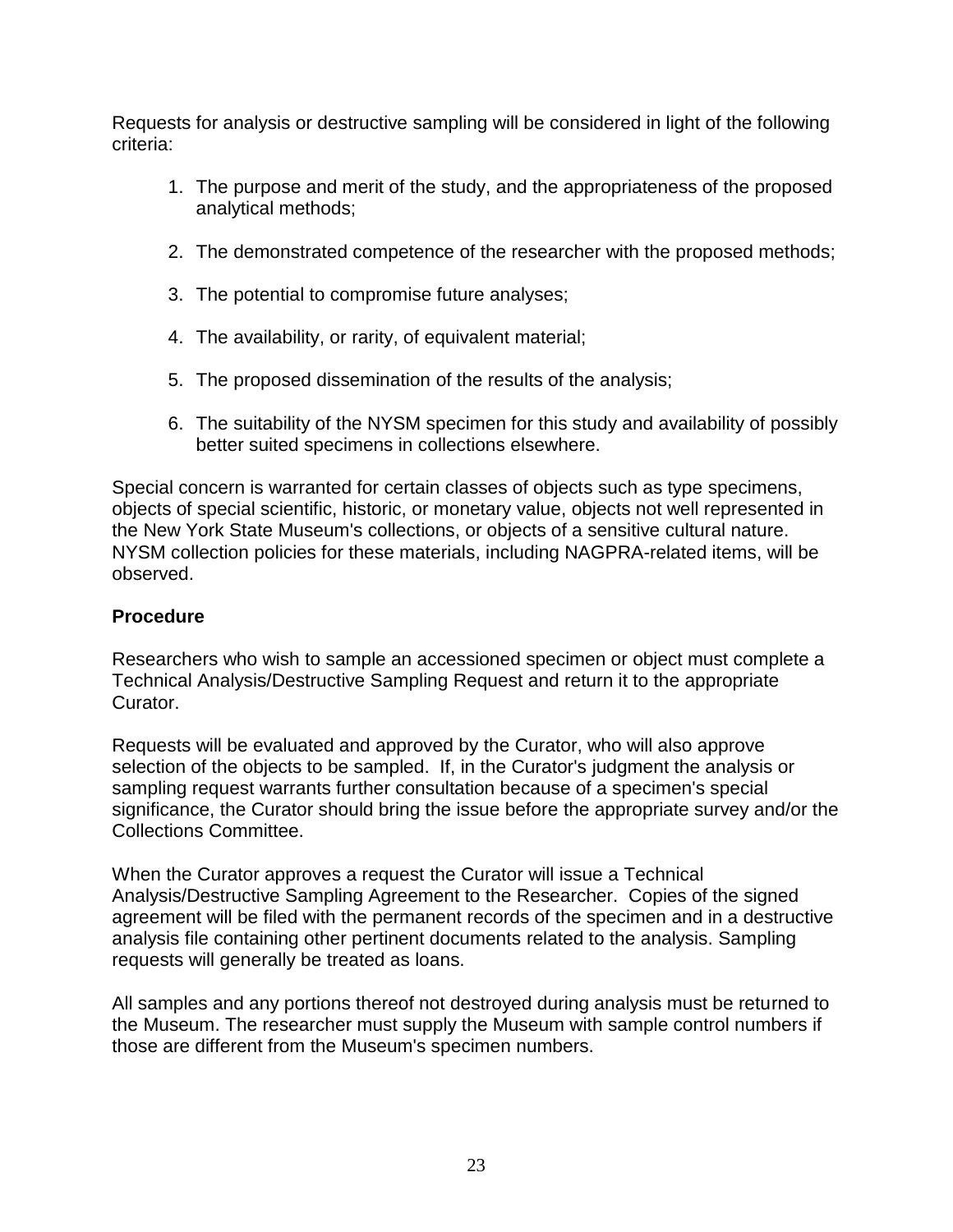Requests for analysis or destructive sampling will be considered in light of the following criteria:

- 1. The purpose and merit of the study, and the appropriateness of the proposed analytical methods;
- 2. The demonstrated competence of the researcher with the proposed methods;
- 3. The potential to compromise future analyses;
- 4. The availability, or rarity, of equivalent material;
- 5. The proposed dissemination of the results of the analysis;
- 6. The suitability of the NYSM specimen for this study and availability of possibly better suited specimens in collections elsewhere.

Special concern is warranted for certain classes of objects such as type specimens, objects of special scientific, historic, or monetary value, objects not well represented in the New York State Museum's collections, or objects of a sensitive cultural nature. NYSM collection policies for these materials, including NAGPRA-related items, will be observed.

# **Procedure**

Researchers who wish to sample an accessioned specimen or object must complete a Technical Analysis/Destructive Sampling Request and return it to the appropriate Curator.

Requests will be evaluated and approved by the Curator, who will also approve selection of the objects to be sampled. If, in the Curator's judgment the analysis or sampling request warrants further consultation because of a specimen's special significance, the Curator should bring the issue before the appropriate survey and/or the Collections Committee.

When the Curator approves a request the Curator will issue a Technical Analysis/Destructive Sampling Agreement to the Researcher. Copies of the signed agreement will be filed with the permanent records of the specimen and in a destructive analysis file containing other pertinent documents related to the analysis. Sampling requests will generally be treated as loans.

All samples and any portions thereof not destroyed during analysis must be returned to the Museum. The researcher must supply the Museum with sample control numbers if those are different from the Museum's specimen numbers.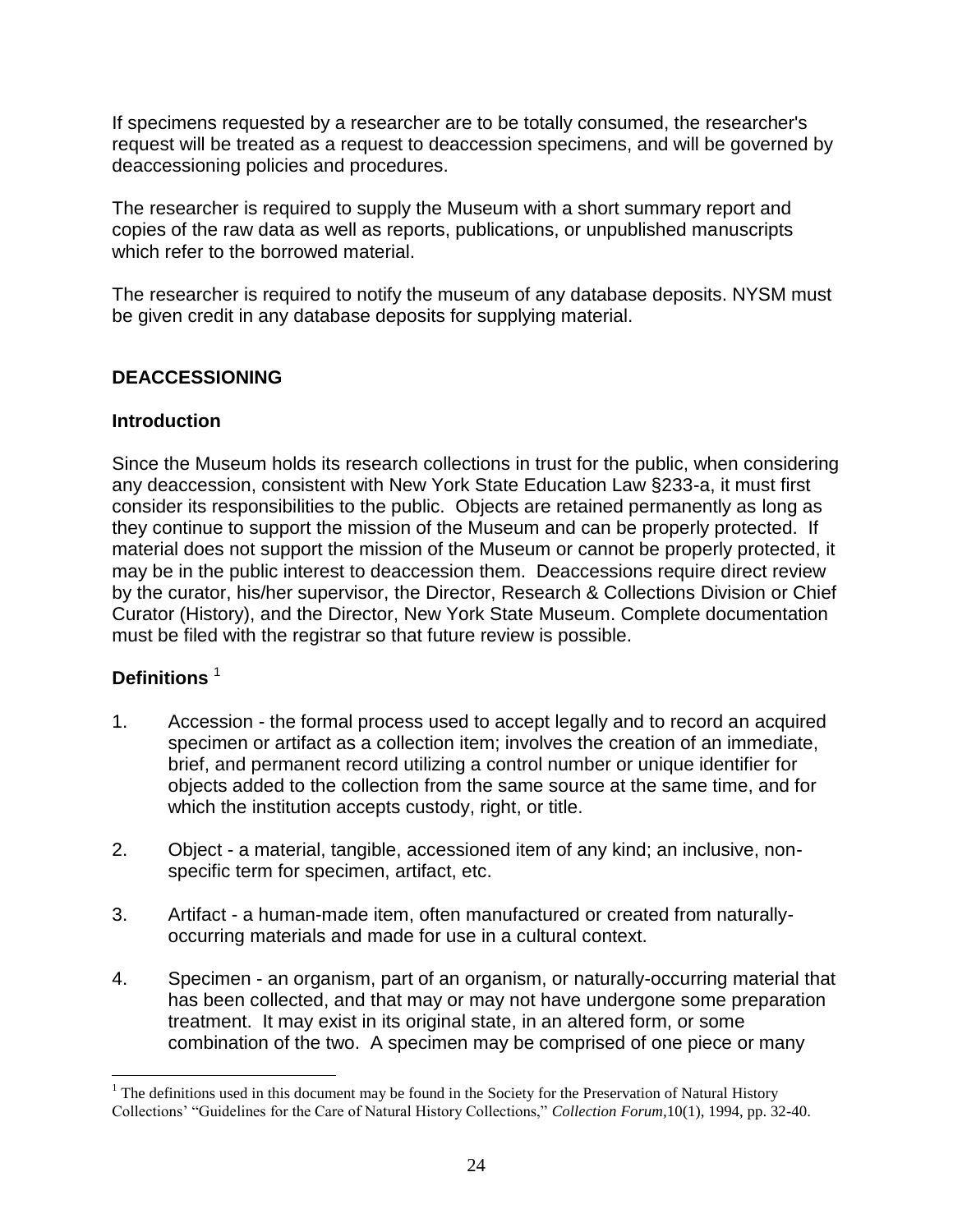If specimens requested by a researcher are to be totally consumed, the researcher's request will be treated as a request to deaccession specimens, and will be governed by deaccessioning policies and procedures.

The researcher is required to supply the Museum with a short summary report and copies of the raw data as well as reports, publications, or unpublished manuscripts which refer to the borrowed material.

The researcher is required to notify the museum of any database deposits. NYSM must be given credit in any database deposits for supplying material.

# **DEACCESSIONING**

## **Introduction**

Since the Museum holds its research collections in trust for the public, when considering any deaccession, consistent with New York State Education Law §233-a, it must first consider its responsibilities to the public. Objects are retained permanently as long as they continue to support the mission of the Museum and can be properly protected. If material does not support the mission of the Museum or cannot be properly protected, it may be in the public interest to deaccession them. Deaccessions require direct review by the curator, his/her supervisor, the Director, Research & Collections Division or Chief Curator (History), and the Director, New York State Museum. Complete documentation must be filed with the registrar so that future review is possible.

# **Definitions** <sup>1</sup>

 $\overline{a}$ 

- 1. Accession the formal process used to accept legally and to record an acquired specimen or artifact as a collection item; involves the creation of an immediate, brief, and permanent record utilizing a control number or unique identifier for objects added to the collection from the same source at the same time, and for which the institution accepts custody, right, or title.
- 2. Object a material, tangible, accessioned item of any kind; an inclusive, nonspecific term for specimen, artifact, etc.
- 3. Artifact a human-made item, often manufactured or created from naturallyoccurring materials and made for use in a cultural context.
- 4. Specimen an organism, part of an organism, or naturally-occurring material that has been collected, and that may or may not have undergone some preparation treatment. It may exist in its original state, in an altered form, or some combination of the two. A specimen may be comprised of one piece or many

<sup>&</sup>lt;sup>1</sup> The definitions used in this document may be found in the Society for the Preservation of Natural History Collections' "Guidelines for the Care of Natural History Collections," *Collection Forum,*10(1), 1994, pp. 32-40.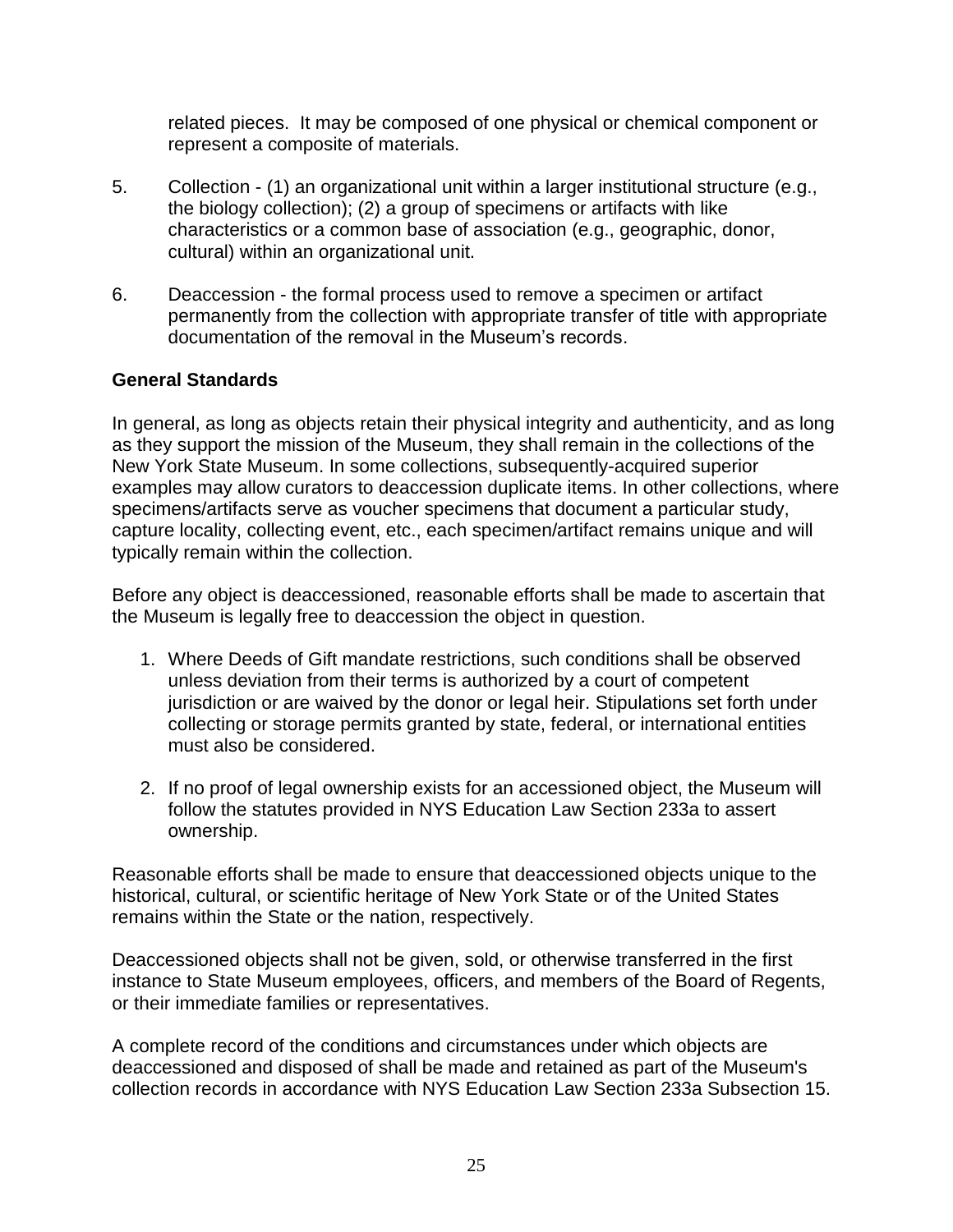related pieces. It may be composed of one physical or chemical component or represent a composite of materials.

- 5. Collection (1) an organizational unit within a larger institutional structure (e.g., the biology collection); (2) a group of specimens or artifacts with like characteristics or a common base of association (e.g., geographic, donor, cultural) within an organizational unit.
- 6. Deaccession the formal process used to remove a specimen or artifact permanently from the collection with appropriate transfer of title with appropriate documentation of the removal in the Museum's records.

# **General Standards**

In general, as long as objects retain their physical integrity and authenticity, and as long as they support the mission of the Museum, they shall remain in the collections of the New York State Museum. In some collections, subsequently-acquired superior examples may allow curators to deaccession duplicate items. In other collections, where specimens/artifacts serve as voucher specimens that document a particular study, capture locality, collecting event, etc., each specimen/artifact remains unique and will typically remain within the collection.

Before any object is deaccessioned, reasonable efforts shall be made to ascertain that the Museum is legally free to deaccession the object in question.

- 1. Where Deeds of Gift mandate restrictions, such conditions shall be observed unless deviation from their terms is authorized by a court of competent jurisdiction or are waived by the donor or legal heir. Stipulations set forth under collecting or storage permits granted by state, federal, or international entities must also be considered.
- 2. If no proof of legal ownership exists for an accessioned object, the Museum will follow the statutes provided in NYS Education Law Section 233a to assert ownership.

Reasonable efforts shall be made to ensure that deaccessioned objects unique to the historical, cultural, or scientific heritage of New York State or of the United States remains within the State or the nation, respectively.

Deaccessioned objects shall not be given, sold, or otherwise transferred in the first instance to State Museum employees, officers, and members of the Board of Regents, or their immediate families or representatives.

A complete record of the conditions and circumstances under which objects are deaccessioned and disposed of shall be made and retained as part of the Museum's collection records in accordance with NYS Education Law Section 233a Subsection 15.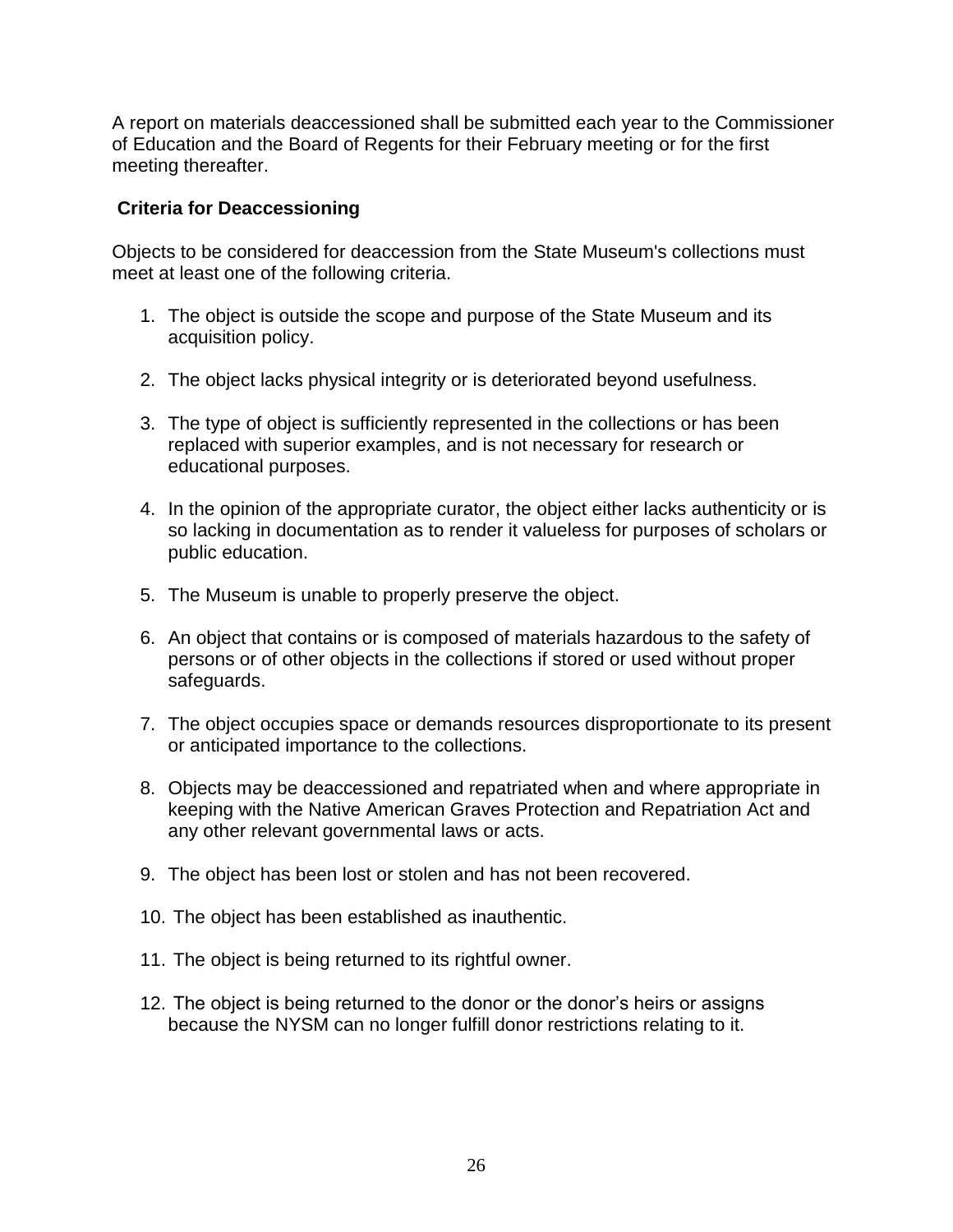A report on materials deaccessioned shall be submitted each year to the Commissioner of Education and the Board of Regents for their February meeting or for the first meeting thereafter.

## **Criteria for Deaccessioning**

Objects to be considered for deaccession from the State Museum's collections must meet at least one of the following criteria.

- 1. The object is outside the scope and purpose of the State Museum and its acquisition policy.
- 2. The object lacks physical integrity or is deteriorated beyond usefulness.
- 3. The type of object is sufficiently represented in the collections or has been replaced with superior examples, and is not necessary for research or educational purposes.
- 4. In the opinion of the appropriate curator, the object either lacks authenticity or is so lacking in documentation as to render it valueless for purposes of scholars or public education.
- 5. The Museum is unable to properly preserve the object.
- 6. An object that contains or is composed of materials hazardous to the safety of persons or of other objects in the collections if stored or used without proper safeguards.
- 7. The object occupies space or demands resources disproportionate to its present or anticipated importance to the collections.
- 8. Objects may be deaccessioned and repatriated when and where appropriate in keeping with the Native American Graves Protection and Repatriation Act and any other relevant governmental laws or acts.
- 9. The object has been lost or stolen and has not been recovered.
- 10. The object has been established as inauthentic.
- 11. The object is being returned to its rightful owner.
- 12. The object is being returned to the donor or the donor's heirs or assigns because the NYSM can no longer fulfill donor restrictions relating to it.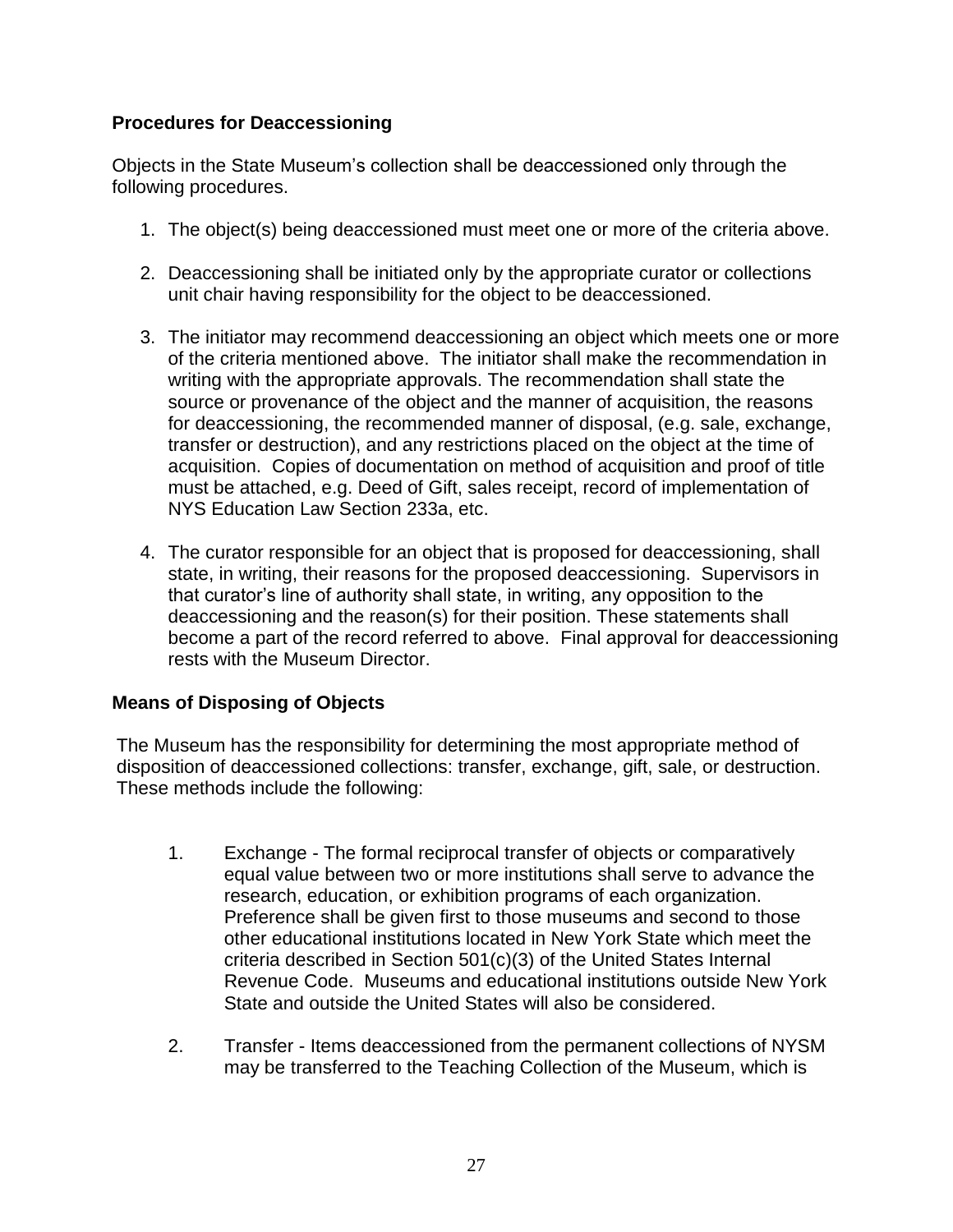## **Procedures for Deaccessioning**

Objects in the State Museum's collection shall be deaccessioned only through the following procedures.

- 1. The object(s) being deaccessioned must meet one or more of the criteria above.
- 2. Deaccessioning shall be initiated only by the appropriate curator or collections unit chair having responsibility for the object to be deaccessioned.
- 3. The initiator may recommend deaccessioning an object which meets one or more of the criteria mentioned above. The initiator shall make the recommendation in writing with the appropriate approvals. The recommendation shall state the source or provenance of the object and the manner of acquisition, the reasons for deaccessioning, the recommended manner of disposal, (e.g. sale, exchange, transfer or destruction), and any restrictions placed on the object at the time of acquisition. Copies of documentation on method of acquisition and proof of title must be attached, e.g. Deed of Gift, sales receipt, record of implementation of NYS Education Law Section 233a, etc.
- 4. The curator responsible for an object that is proposed for deaccessioning, shall state, in writing, their reasons for the proposed deaccessioning. Supervisors in that curator's line of authority shall state, in writing, any opposition to the deaccessioning and the reason(s) for their position. These statements shall become a part of the record referred to above. Final approval for deaccessioning rests with the Museum Director.

# **Means of Disposing of Objects**

The Museum has the responsibility for determining the most appropriate method of disposition of deaccessioned collections: transfer, exchange, gift, sale, or destruction. These methods include the following:

- 1. Exchange The formal reciprocal transfer of objects or comparatively equal value between two or more institutions shall serve to advance the research, education, or exhibition programs of each organization. Preference shall be given first to those museums and second to those other educational institutions located in New York State which meet the criteria described in Section 501(c)(3) of the United States Internal Revenue Code. Museums and educational institutions outside New York State and outside the United States will also be considered.
- 2. Transfer Items deaccessioned from the permanent collections of NYSM may be transferred to the Teaching Collection of the Museum, which is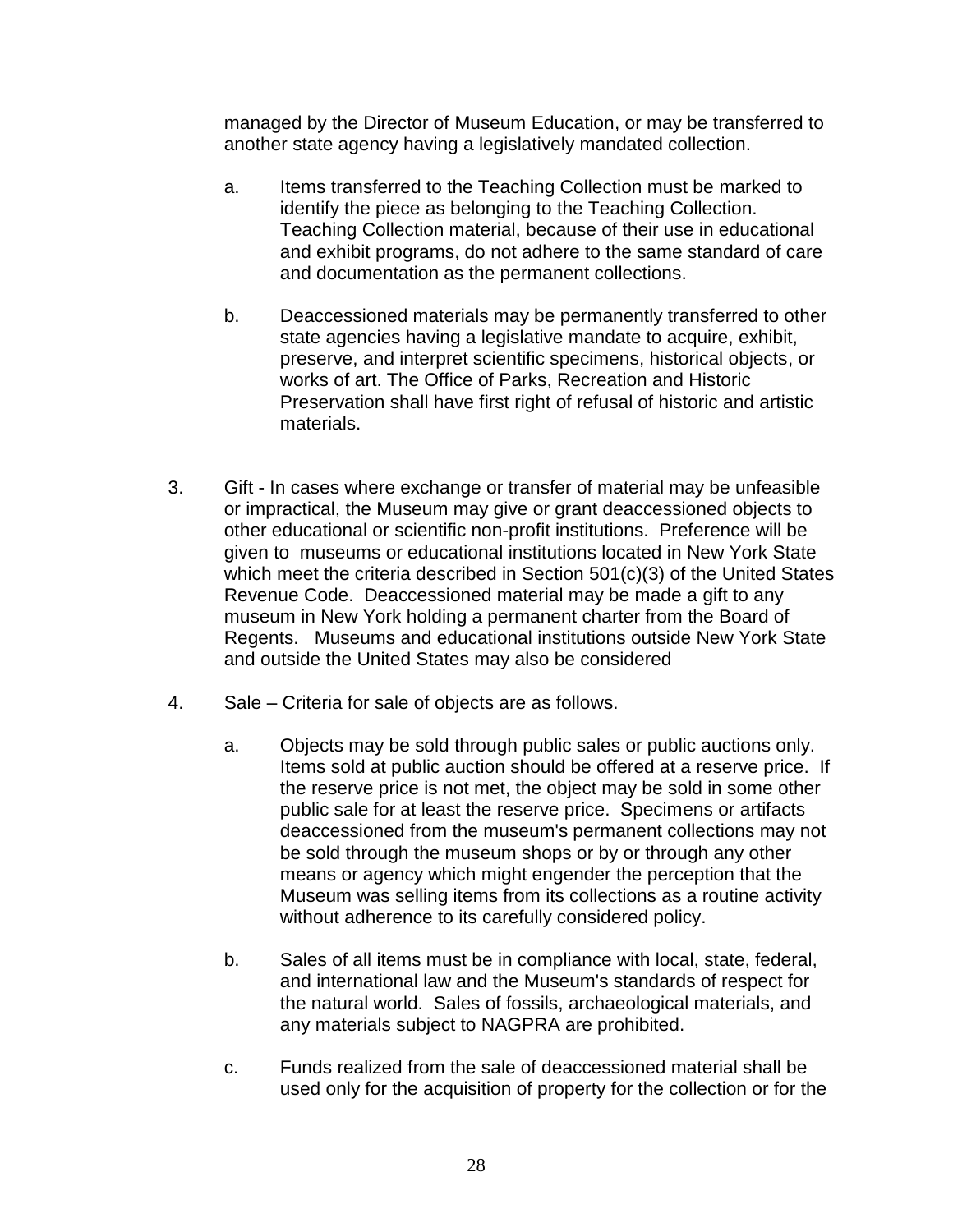managed by the Director of Museum Education, or may be transferred to another state agency having a legislatively mandated collection.

- a. Items transferred to the Teaching Collection must be marked to identify the piece as belonging to the Teaching Collection. Teaching Collection material, because of their use in educational and exhibit programs, do not adhere to the same standard of care and documentation as the permanent collections.
- b. Deaccessioned materials may be permanently transferred to other state agencies having a legislative mandate to acquire, exhibit, preserve, and interpret scientific specimens, historical objects, or works of art. The Office of Parks, Recreation and Historic Preservation shall have first right of refusal of historic and artistic materials.
- 3. Gift In cases where exchange or transfer of material may be unfeasible or impractical, the Museum may give or grant deaccessioned objects to other educational or scientific non-profit institutions. Preference will be given to museums or educational institutions located in New York State which meet the criteria described in Section 501(c)(3) of the United States Revenue Code. Deaccessioned material may be made a gift to any museum in New York holding a permanent charter from the Board of Regents. Museums and educational institutions outside New York State and outside the United States may also be considered
- 4. Sale Criteria for sale of objects are as follows.
	- a. Objects may be sold through public sales or public auctions only. Items sold at public auction should be offered at a reserve price. If the reserve price is not met, the object may be sold in some other public sale for at least the reserve price. Specimens or artifacts deaccessioned from the museum's permanent collections may not be sold through the museum shops or by or through any other means or agency which might engender the perception that the Museum was selling items from its collections as a routine activity without adherence to its carefully considered policy.
	- b. Sales of all items must be in compliance with local, state, federal, and international law and the Museum's standards of respect for the natural world. Sales of fossils, archaeological materials, and any materials subject to NAGPRA are prohibited.
	- c. Funds realized from the sale of deaccessioned material shall be used only for the acquisition of property for the collection or for the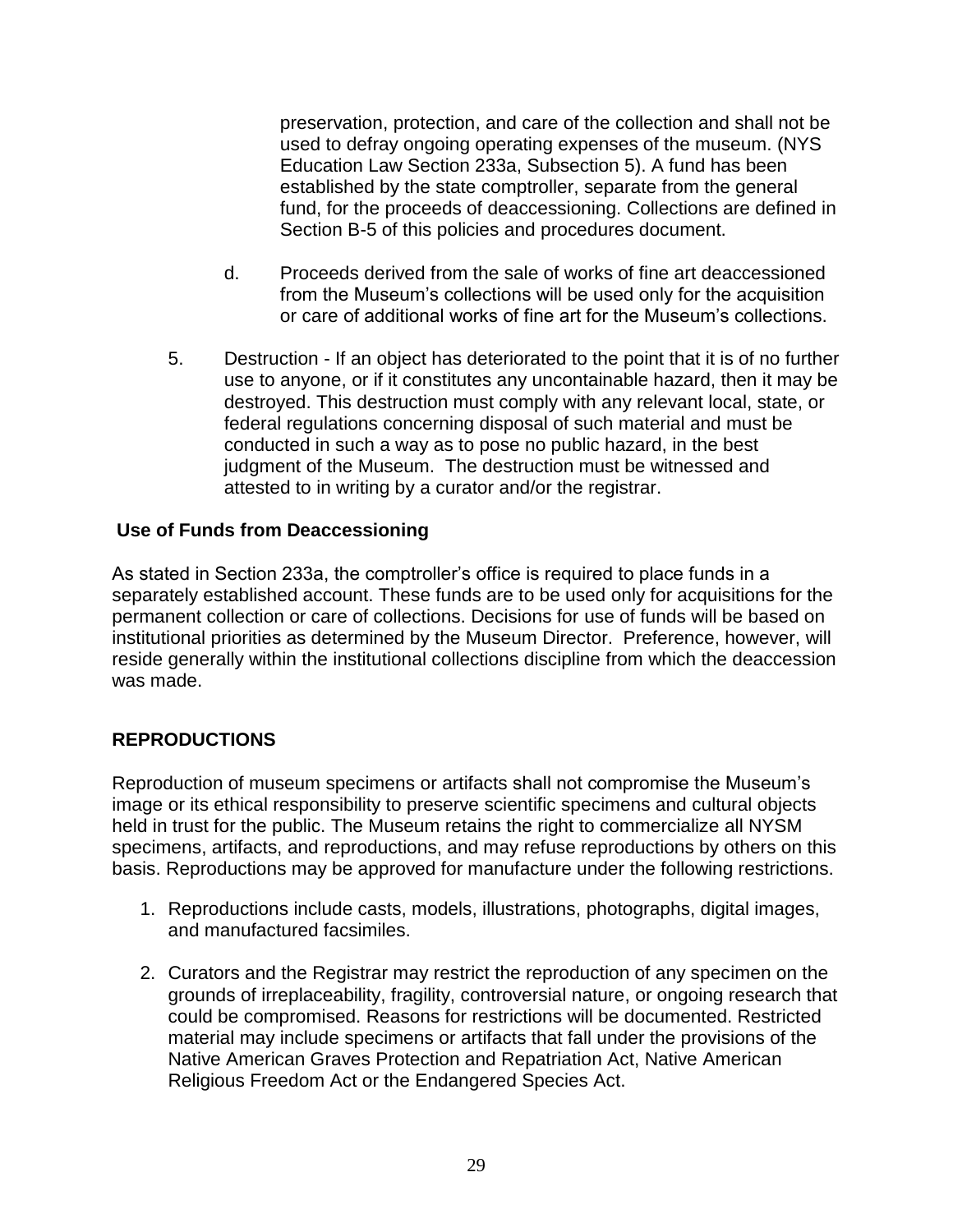preservation, protection, and care of the collection and shall not be used to defray ongoing operating expenses of the museum. (NYS Education Law Section 233a, Subsection 5). A fund has been established by the state comptroller, separate from the general fund, for the proceeds of deaccessioning. Collections are defined in Section B-5 of this policies and procedures document.

- d. Proceeds derived from the sale of works of fine art deaccessioned from the Museum's collections will be used only for the acquisition or care of additional works of fine art for the Museum's collections.
- 5. Destruction If an object has deteriorated to the point that it is of no further use to anyone, or if it constitutes any uncontainable hazard, then it may be destroyed. This destruction must comply with any relevant local, state, or federal regulations concerning disposal of such material and must be conducted in such a way as to pose no public hazard, in the best judgment of the Museum. The destruction must be witnessed and attested to in writing by a curator and/or the registrar.

## **Use of Funds from Deaccessioning**

As stated in Section 233a, the comptroller's office is required to place funds in a separately established account. These funds are to be used only for acquisitions for the permanent collection or care of collections. Decisions for use of funds will be based on institutional priorities as determined by the Museum Director. Preference, however, will reside generally within the institutional collections discipline from which the deaccession was made.

# **REPRODUCTIONS**

Reproduction of museum specimens or artifacts shall not compromise the Museum's image or its ethical responsibility to preserve scientific specimens and cultural objects held in trust for the public. The Museum retains the right to commercialize all NYSM specimens, artifacts, and reproductions, and may refuse reproductions by others on this basis. Reproductions may be approved for manufacture under the following restrictions.

- 1. Reproductions include casts, models, illustrations, photographs, digital images, and manufactured facsimiles.
- 2. Curators and the Registrar may restrict the reproduction of any specimen on the grounds of irreplaceability, fragility, controversial nature, or ongoing research that could be compromised. Reasons for restrictions will be documented. Restricted material may include specimens or artifacts that fall under the provisions of the Native American Graves Protection and Repatriation Act, Native American Religious Freedom Act or the Endangered Species Act.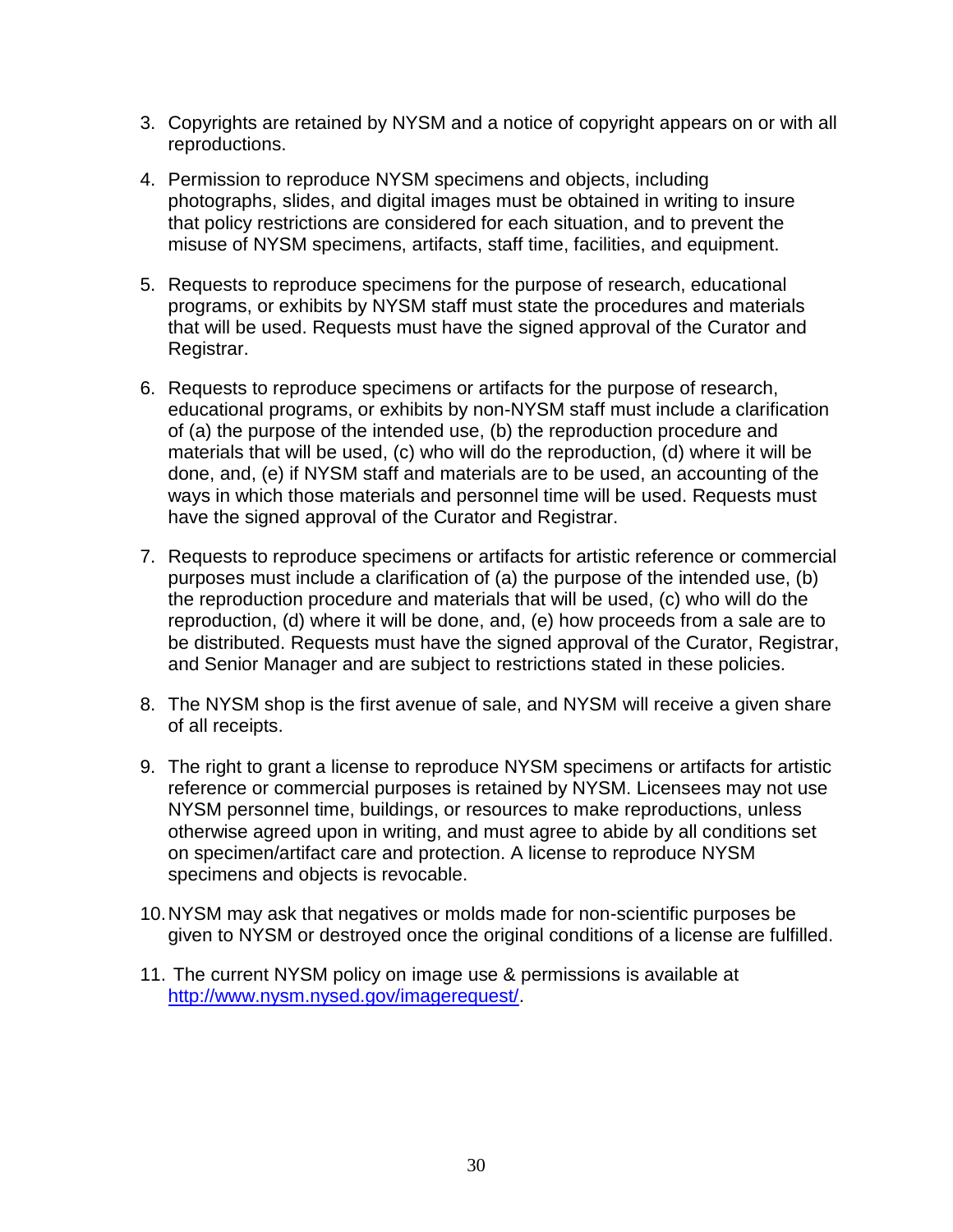- 3. Copyrights are retained by NYSM and a notice of copyright appears on or with all reproductions.
- 4. Permission to reproduce NYSM specimens and objects, including photographs, slides, and digital images must be obtained in writing to insure that policy restrictions are considered for each situation, and to prevent the misuse of NYSM specimens, artifacts, staff time, facilities, and equipment.
- 5. Requests to reproduce specimens for the purpose of research, educational programs, or exhibits by NYSM staff must state the procedures and materials that will be used. Requests must have the signed approval of the Curator and Registrar.
- 6. Requests to reproduce specimens or artifacts for the purpose of research, educational programs, or exhibits by non-NYSM staff must include a clarification of (a) the purpose of the intended use, (b) the reproduction procedure and materials that will be used, (c) who will do the reproduction, (d) where it will be done, and, (e) if NYSM staff and materials are to be used, an accounting of the ways in which those materials and personnel time will be used. Requests must have the signed approval of the Curator and Registrar.
- 7. Requests to reproduce specimens or artifacts for artistic reference or commercial purposes must include a clarification of (a) the purpose of the intended use, (b) the reproduction procedure and materials that will be used, (c) who will do the reproduction, (d) where it will be done, and, (e) how proceeds from a sale are to be distributed. Requests must have the signed approval of the Curator, Registrar, and Senior Manager and are subject to restrictions stated in these policies.
- 8. The NYSM shop is the first avenue of sale, and NYSM will receive a given share of all receipts.
- 9. The right to grant a license to reproduce NYSM specimens or artifacts for artistic reference or commercial purposes is retained by NYSM. Licensees may not use NYSM personnel time, buildings, or resources to make reproductions, unless otherwise agreed upon in writing, and must agree to abide by all conditions set on specimen/artifact care and protection. A license to reproduce NYSM specimens and objects is revocable.
- 10.NYSM may ask that negatives or molds made for non-scientific purposes be given to NYSM or destroyed once the original conditions of a license are fulfilled.
- 11. The current NYSM policy on image use & permissions is available at [http://www.nysm.nysed.gov/imagerequest/.](http://www.nysm.nysed.gov/imagerequest/)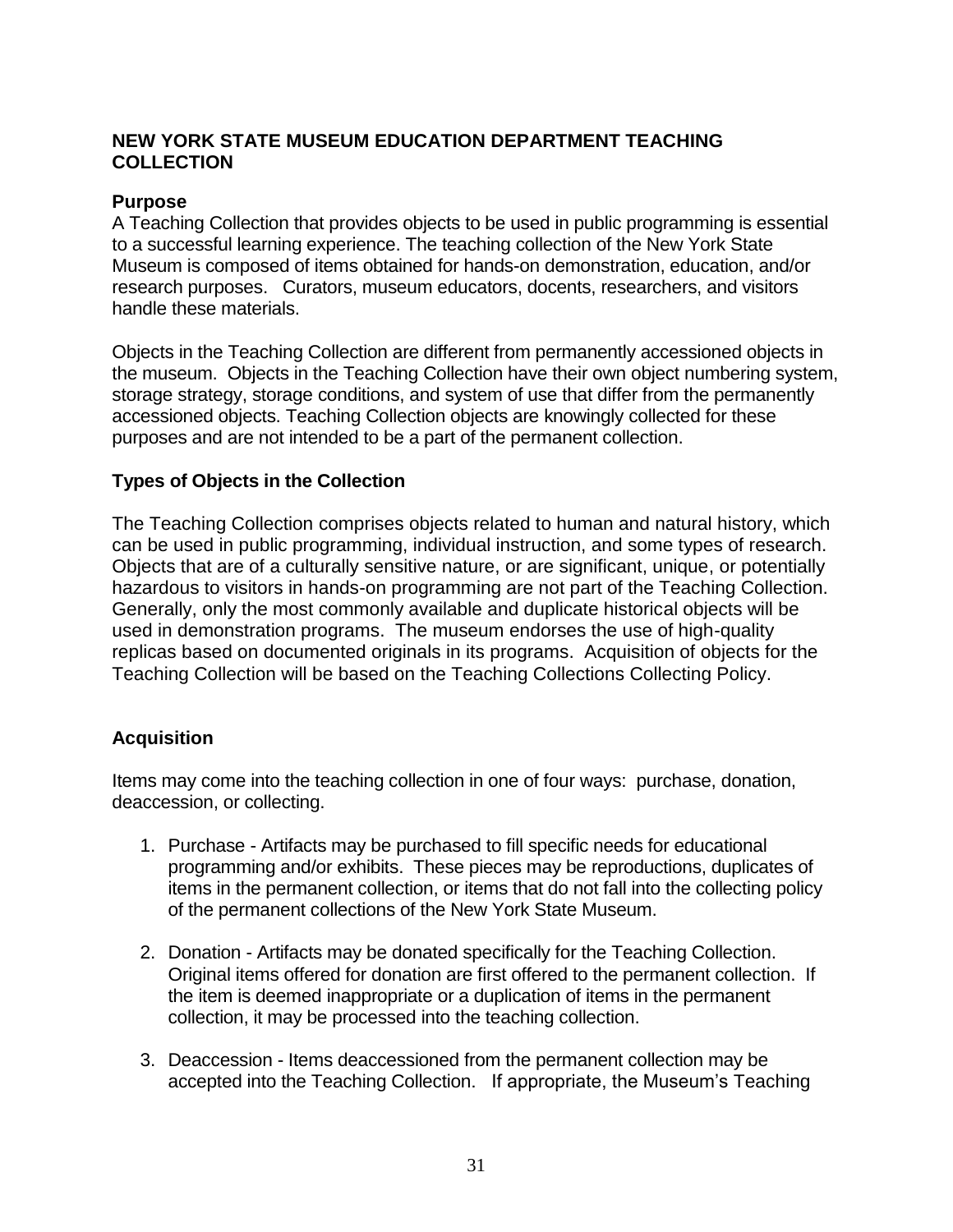# **NEW YORK STATE MUSEUM EDUCATION DEPARTMENT TEACHING COLLECTION**

### **Purpose**

A Teaching Collection that provides objects to be used in public programming is essential to a successful learning experience. The teaching collection of the New York State Museum is composed of items obtained for hands-on demonstration, education, and/or research purposes. Curators, museum educators, docents, researchers, and visitors handle these materials.

Objects in the Teaching Collection are different from permanently accessioned objects in the museum. Objects in the Teaching Collection have their own object numbering system, storage strategy, storage conditions, and system of use that differ from the permanently accessioned objects. Teaching Collection objects are knowingly collected for these purposes and are not intended to be a part of the permanent collection.

# **Types of Objects in the Collection**

The Teaching Collection comprises objects related to human and natural history, which can be used in public programming, individual instruction, and some types of research. Objects that are of a culturally sensitive nature, or are significant, unique, or potentially hazardous to visitors in hands-on programming are not part of the Teaching Collection. Generally, only the most commonly available and duplicate historical objects will be used in demonstration programs. The museum endorses the use of high-quality replicas based on documented originals in its programs. Acquisition of objects for the Teaching Collection will be based on the Teaching Collections Collecting Policy.

# **Acquisition**

Items may come into the teaching collection in one of four ways: purchase, donation, deaccession, or collecting.

- 1. Purchase Artifacts may be purchased to fill specific needs for educational programming and/or exhibits. These pieces may be reproductions, duplicates of items in the permanent collection, or items that do not fall into the collecting policy of the permanent collections of the New York State Museum.
- 2. Donation Artifacts may be donated specifically for the Teaching Collection. Original items offered for donation are first offered to the permanent collection. If the item is deemed inappropriate or a duplication of items in the permanent collection, it may be processed into the teaching collection.
- 3. Deaccession Items deaccessioned from the permanent collection may be accepted into the Teaching Collection. If appropriate, the Museum's Teaching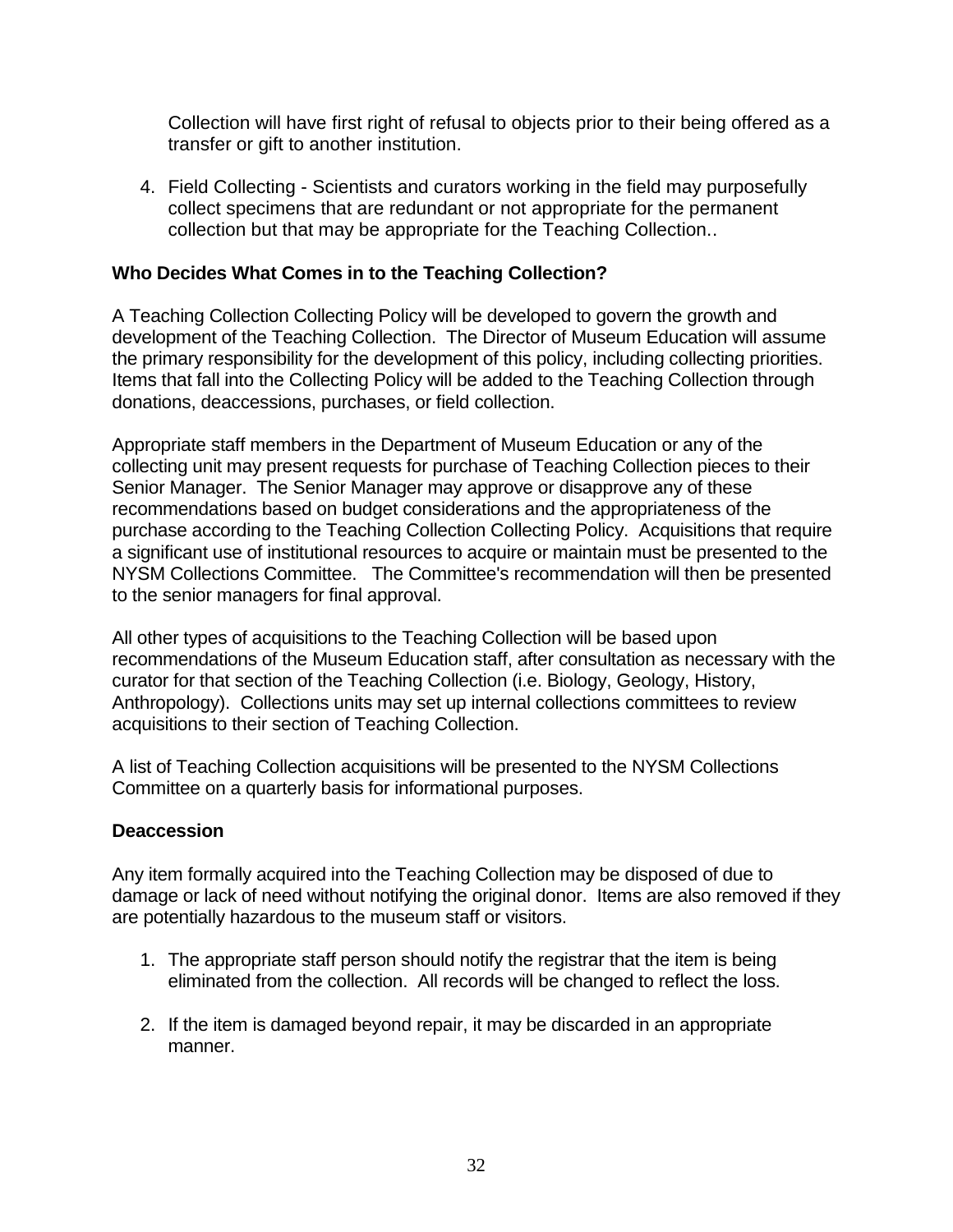Collection will have first right of refusal to objects prior to their being offered as a transfer or gift to another institution.

4. Field Collecting - Scientists and curators working in the field may purposefully collect specimens that are redundant or not appropriate for the permanent collection but that may be appropriate for the Teaching Collection..

# **Who Decides What Comes in to the Teaching Collection?**

A Teaching Collection Collecting Policy will be developed to govern the growth and development of the Teaching Collection. The Director of Museum Education will assume the primary responsibility for the development of this policy, including collecting priorities. Items that fall into the Collecting Policy will be added to the Teaching Collection through donations, deaccessions, purchases, or field collection.

Appropriate staff members in the Department of Museum Education or any of the collecting unit may present requests for purchase of Teaching Collection pieces to their Senior Manager. The Senior Manager may approve or disapprove any of these recommendations based on budget considerations and the appropriateness of the purchase according to the Teaching Collection Collecting Policy. Acquisitions that require a significant use of institutional resources to acquire or maintain must be presented to the NYSM Collections Committee. The Committee's recommendation will then be presented to the senior managers for final approval.

All other types of acquisitions to the Teaching Collection will be based upon recommendations of the Museum Education staff, after consultation as necessary with the curator for that section of the Teaching Collection (i.e. Biology, Geology, History, Anthropology). Collections units may set up internal collections committees to review acquisitions to their section of Teaching Collection.

A list of Teaching Collection acquisitions will be presented to the NYSM Collections Committee on a quarterly basis for informational purposes.

#### **Deaccession**

Any item formally acquired into the Teaching Collection may be disposed of due to damage or lack of need without notifying the original donor. Items are also removed if they are potentially hazardous to the museum staff or visitors.

- 1. The appropriate staff person should notify the registrar that the item is being eliminated from the collection. All records will be changed to reflect the loss.
- 2. If the item is damaged beyond repair, it may be discarded in an appropriate manner.